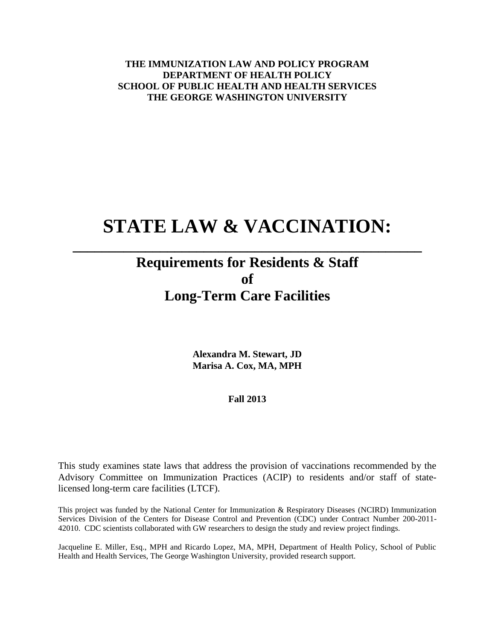**THE IMMUNIZATION LAW AND POLICY PROGRAM DEPARTMENT OF HEALTH POLICY SCHOOL OF PUBLIC HEALTH AND HEALTH SERVICES THE GEORGE WASHINGTON UNIVERSITY**

# **STATE LAW & VACCINATION:**

**\_\_\_\_\_\_\_\_\_\_\_\_\_\_\_\_\_\_\_\_\_\_\_\_\_\_\_\_\_\_\_\_\_\_\_\_\_\_\_\_\_\_\_\_\_\_\_\_**

## **Requirements for Residents & Staff of Long-Term Care Facilities**

**Alexandra M. Stewart, JD Marisa A. Cox, MA, MPH**

**Fall 2013**

This study examines state laws that address the provision of vaccinations recommended by the Advisory Committee on Immunization Practices (ACIP) to residents and/or staff of statelicensed long-term care facilities (LTCF).

This project was funded by the National Center for Immunization & Respiratory Diseases (NCIRD) Immunization Services Division of the Centers for Disease Control and Prevention (CDC) under Contract Number 200-2011- 42010. CDC scientists collaborated with GW researchers to design the study and review project findings.

Jacqueline E. Miller, Esq., MPH and Ricardo Lopez, MA, MPH, Department of Health Policy, School of Public Health and Health Services, The George Washington University, provided research support.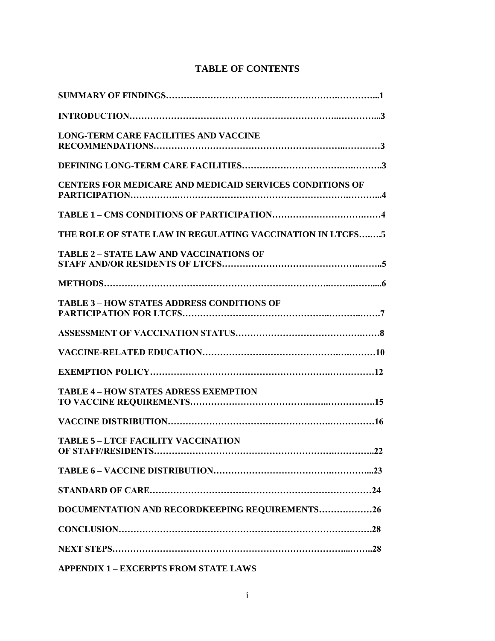|  | <b>TABLE OF CONTENTS</b> |
|--|--------------------------|
|--|--------------------------|

| <b>LONG-TERM CARE FACILITIES AND VACCINE</b>                           |
|------------------------------------------------------------------------|
|                                                                        |
| <b>CENTERS FOR MEDICARE AND MEDICAID SERVICES CONDITIONS OF</b>        |
|                                                                        |
| THE ROLE OF STATE LAW IN REGULATING VACCINATION IN LTCFS5              |
| <b>TABLE 2 - STATE LAW AND VACCINATIONS OF</b>                         |
|                                                                        |
| <b>TABLE 3 - HOW STATES ADDRESS CONDITIONS OF</b>                      |
|                                                                        |
|                                                                        |
|                                                                        |
| <b>TABLE 4 - HOW STATES ADRESS EXEMPTION</b>                           |
|                                                                        |
| <b>TABLE 5-LTCF FACILITY VACCINATION</b><br>.22<br>OF STAFF/RESIDENTS. |
|                                                                        |
|                                                                        |
| DOCUMENTATION AND RECORDKEEPING REQUIREMENTS26                         |
|                                                                        |
|                                                                        |
| <b>APPENDIX 1 - EXCERPTS FROM STATE LAWS</b>                           |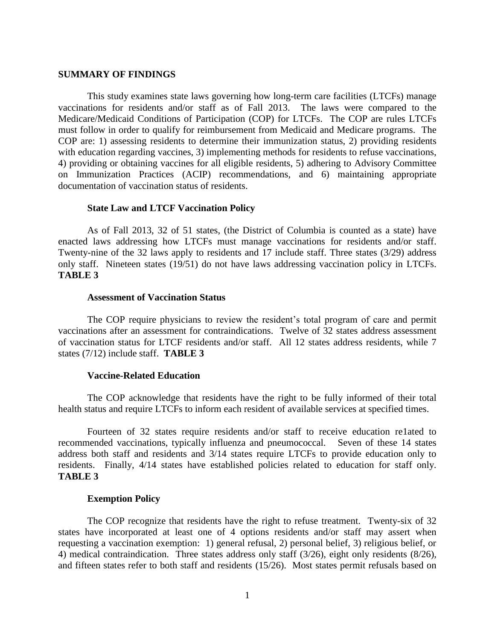#### **SUMMARY OF FINDINGS**

This study examines state laws governing how long-term care facilities (LTCFs) manage vaccinations for residents and/or staff as of Fall 2013. The laws were compared to the Medicare/Medicaid Conditions of Participation (COP) for LTCFs. The COP are rules LTCFs must follow in order to qualify for reimbursement from Medicaid and Medicare programs. The COP are: 1) assessing residents to determine their immunization status, 2) providing residents with education regarding vaccines, 3) implementing methods for residents to refuse vaccinations, 4) providing or obtaining vaccines for all eligible residents, 5) adhering to Advisory Committee on Immunization Practices (ACIP) recommendations, and 6) maintaining appropriate documentation of vaccination status of residents.

## **State Law and LTCF Vaccination Policy**

As of Fall 2013, 32 of 51 states, (the District of Columbia is counted as a state) have enacted laws addressing how LTCFs must manage vaccinations for residents and/or staff. Twenty-nine of the 32 laws apply to residents and 17 include staff. Three states (3/29) address only staff. Nineteen states (19/51) do not have laws addressing vaccination policy in LTCFs. **TABLE 3**

#### **Assessment of Vaccination Status**

The COP require physicians to review the resident's total program of care and permit vaccinations after an assessment for contraindications. Twelve of 32 states address assessment of vaccination status for LTCF residents and/or staff. All 12 states address residents, while 7 states (7/12) include staff. **TABLE 3**

#### **Vaccine-Related Education**

The COP acknowledge that residents have the right to be fully informed of their total health status and require LTCFs to inform each resident of available services at specified times.

Fourteen of 32 states require residents and/or staff to receive education re1ated to recommended vaccinations, typically influenza and pneumococcal. Seven of these 14 states address both staff and residents and 3/14 states require LTCFs to provide education only to residents. Finally, 4/14 states have established policies related to education for staff only. **TABLE 3**

#### **Exemption Policy**

The COP recognize that residents have the right to refuse treatment. Twenty-six of 32 states have incorporated at least one of 4 options residents and/or staff may assert when requesting a vaccination exemption: 1) general refusal, 2) personal belief, 3) religious belief, or 4) medical contraindication. Three states address only staff (3/26), eight only residents (8/26), and fifteen states refer to both staff and residents (15/26). Most states permit refusals based on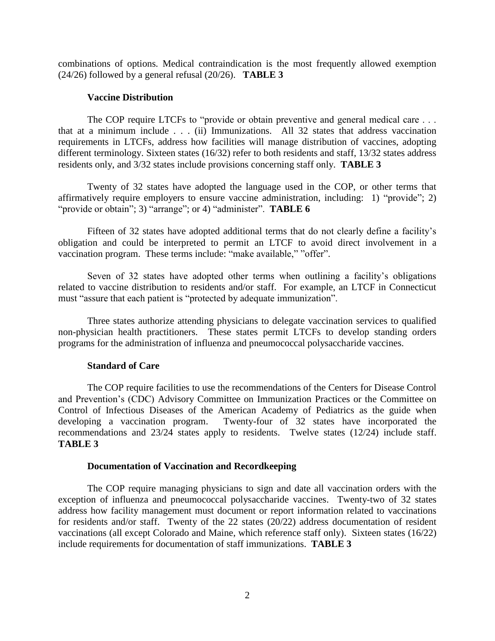combinations of options. Medical contraindication is the most frequently allowed exemption (24/26) followed by a general refusal (20/26). **TABLE 3**

#### **Vaccine Distribution**

The COP require LTCFs to "provide or obtain preventive and general medical care . . . that at a minimum include . . . (ii) Immunizations. All 32 states that address vaccination requirements in LTCFs, address how facilities will manage distribution of vaccines, adopting different terminology. Sixteen states (16/32) refer to both residents and staff, 13/32 states address residents only, and 3/32 states include provisions concerning staff only. **TABLE 3**

Twenty of 32 states have adopted the language used in the COP, or other terms that affirmatively require employers to ensure vaccine administration, including: 1) "provide"; 2) "provide or obtain"; 3) "arrange"; or 4) "administer". **TABLE 6**

Fifteen of 32 states have adopted additional terms that do not clearly define a facility's obligation and could be interpreted to permit an LTCF to avoid direct involvement in a vaccination program. These terms include: "make available," "offer".

Seven of 32 states have adopted other terms when outlining a facility's obligations related to vaccine distribution to residents and/or staff. For example, an LTCF in Connecticut must "assure that each patient is "protected by adequate immunization".

Three states authorize attending physicians to delegate vaccination services to qualified non-physician health practitioners. These states permit LTCFs to develop standing orders programs for the administration of influenza and pneumococcal polysaccharide vaccines.

### **Standard of Care**

The COP require facilities to use the recommendations of the Centers for Disease Control and Prevention's (CDC) Advisory Committee on Immunization Practices or the Committee on Control of Infectious Diseases of the American Academy of Pediatrics as the guide when developing a vaccination program. Twenty-four of 32 states have incorporated the Twenty-four of 32 states have incorporated the recommendations and 23/24 states apply to residents. Twelve states (12/24) include staff. **TABLE 3**

#### **Documentation of Vaccination and Recordkeeping**

The COP require managing physicians to sign and date all vaccination orders with the exception of influenza and pneumococcal polysaccharide vaccines. Twenty-two of 32 states address how facility management must document or report information related to vaccinations for residents and/or staff. Twenty of the 22 states (20/22) address documentation of resident vaccinations (all except Colorado and Maine, which reference staff only). Sixteen states (16/22) include requirements for documentation of staff immunizations. **TABLE 3**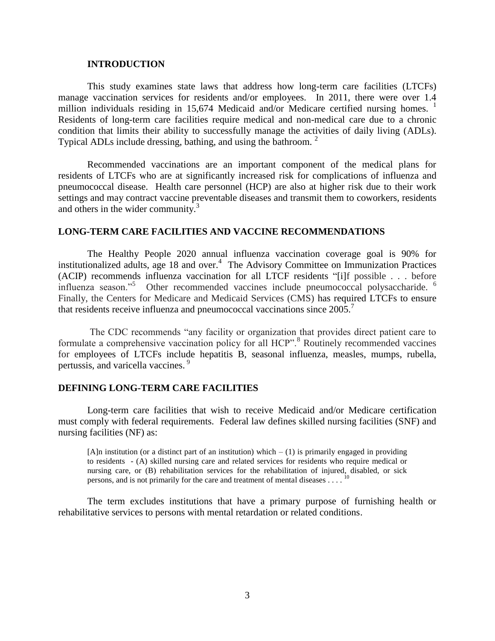#### **INTRODUCTION**

This study examines state laws that address how long-term care facilities (LTCFs) manage vaccination services for residents and/or employees. In 2011, there were over 1.4 million individuals residing in 15,674 Medicaid and/or Medicare certified nursing homes.  $1$ Residents of long-term care facilities require medical and non-medical care due to a chronic condition that limits their ability to successfully manage the activities of daily living (ADLs). Typical ADLs include dressing, bathing, and using the bathroom.<sup>2</sup>

Recommended vaccinations are an important component of the medical plans for residents of LTCFs who are at significantly increased risk for complications of influenza and pneumococcal disease. Health care personnel (HCP) are also at higher risk due to their work settings and may contract vaccine preventable diseases and transmit them to coworkers, residents and others in the wider community.<sup>3</sup>

## **LONG-TERM CARE FACILITIES AND VACCINE RECOMMENDATIONS**

The Healthy People 2020 annual influenza vaccination coverage goal is 90% for institutionalized adults, age 18 and over.<sup>4</sup> The Advisory Committee on Immunization Practices (ACIP) recommends influenza vaccination for all LTCF residents "[i]f possible . . . before influenza season."<sup>5</sup> Other recommended vaccines include pneumococcal polysaccharide. <sup>6</sup> Finally, the Centers for Medicare and Medicaid Services (CMS) has required LTCFs to ensure that residents receive influenza and pneumococcal vaccinations since  $2005$ .<sup>7</sup>

The CDC recommends "any facility or organization that provides direct patient care to formulate a comprehensive vaccination policy for all HCP".<sup>8</sup> Routinely recommended vaccines for employees of LTCFs include hepatitis B, seasonal influenza, measles, mumps, rubella, pertussis, and varicella vaccines. 9

## **DEFINING LONG-TERM CARE FACILITIES**

Long-term care facilities that wish to receive Medicaid and/or Medicare certification must comply with federal requirements.Federal law defines skilled nursing facilities (SNF) and nursing facilities (NF) as:

 $[A]$ n institution (or a distinct part of an institution) which  $-(1)$  is primarily engaged in providing to residents - (A) skilled nursing care and related services for residents who require medical or nursing care, or (B) rehabilitation services for the rehabilitation of injured, disabled, or sick persons, and is not primarily for the care and treatment of mental diseases  $\dots$ .<sup>10</sup>

The term excludes institutions that have a primary purpose of furnishing health or rehabilitative services to persons with mental retardation or related conditions.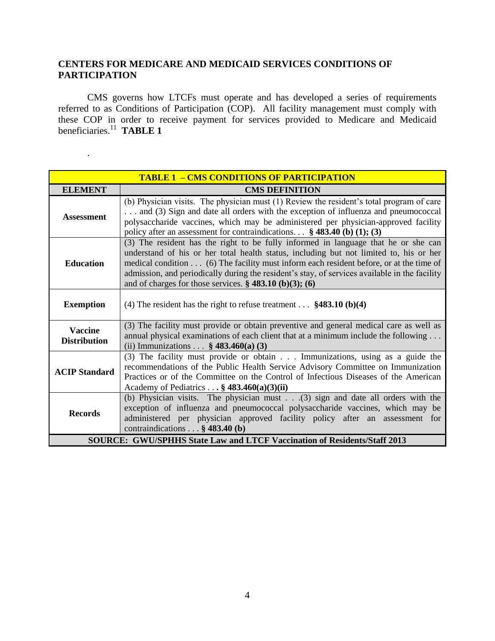## **CENTERS FOR MEDICARE AND MEDICAID SERVICES CONDITIONS OF PARTICIPATION**

.

CMS governs how LTCFs must operate and has developed a series of requirements referred to as Conditions of Participation (COP). All facility management must comply with these COP in order to receive payment for services provided to Medicare and Medicaid beneficiaries. <sup>11</sup> **TABLE 1**

|                                       | <b>TABLE 1 - CMS CONDITIONS OF PARTICIPATION</b>                                                                                                                                                                                                                                                                                                                                                                                               |
|---------------------------------------|------------------------------------------------------------------------------------------------------------------------------------------------------------------------------------------------------------------------------------------------------------------------------------------------------------------------------------------------------------------------------------------------------------------------------------------------|
| <b>ELEMENT</b>                        | <b>CMS DEFINITION</b>                                                                                                                                                                                                                                                                                                                                                                                                                          |
| <b>Assessment</b>                     | (b) Physician visits. The physician must (1) Review the resident's total program of care<br>and (3) Sign and date all orders with the exception of influenza and pneumococcal<br>polysaccharide vaccines, which may be administered per physician-approved facility<br>policy after an assessment for contraindications. $\therefore$ § 483.40 (b) (1); (3)                                                                                    |
| <b>Education</b>                      | (3) The resident has the right to be fully informed in language that he or she can<br>understand of his or her total health status, including but not limited to, his or her<br>medical condition (6) The facility must inform each resident before, or at the time of<br>admission, and periodically during the resident's stay, of services available in the facility<br>and of charges for those services. $\frac{2}{3}$ 483.10 (b)(3); (6) |
| <b>Exemption</b>                      | (4) The resident has the right to refuse treatment $$483.10$ (b)(4)                                                                                                                                                                                                                                                                                                                                                                            |
| <b>Vaccine</b><br><b>Distribution</b> | (3) The facility must provide or obtain preventive and general medical care as well as<br>annual physical examinations of each client that at a minimum include the following<br>(ii) Immunizations $\frac{6}{9}$ 483.460(a) (3)                                                                                                                                                                                                               |
| <b>ACIP Standard</b>                  | (3) The facility must provide or obtain Immunizations, using as a guide the<br>recommendations of the Public Health Service Advisory Committee on Immunization<br>Practices or of the Committee on the Control of Infectious Diseases of the American<br>Academy of Pediatrics . $\cdot$ \$ 483.460(a)(3)(ii)                                                                                                                                  |
| <b>Records</b>                        | (b) Physician visits. The physician must $\ldots$ (3) sign and date all orders with the<br>exception of influenza and pneumococcal polysaccharide vaccines, which may be<br>administered per physician approved facility policy after an assessment for<br>contraindications $\ldots$ § 483.40 (b)                                                                                                                                             |
|                                       | <b>SOURCE: GWU/SPHHS State Law and LTCF Vaccination of Residents/Staff 2013</b>                                                                                                                                                                                                                                                                                                                                                                |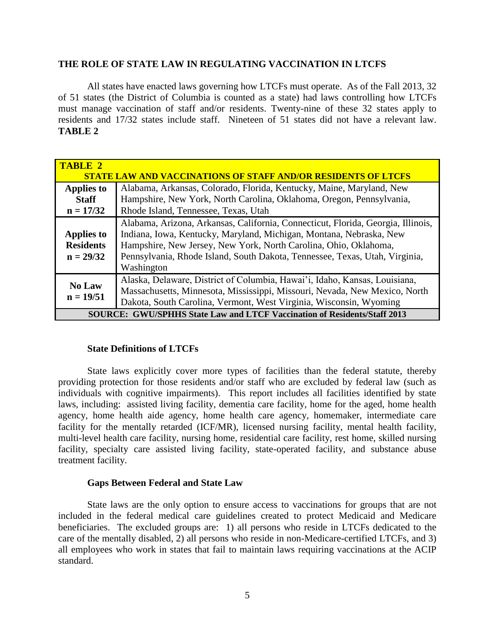## **THE ROLE OF STATE LAW IN REGULATING VACCINATION IN LTCFS**

All states have enacted laws governing how LTCFs must operate. As of the Fall 2013, 32 of 51 states (the District of Columbia is counted as a state) had laws controlling how LTCFs must manage vaccination of staff and/or residents. Twenty-nine of these 32 states apply to residents and 17/32 states include staff. Nineteen of 51 states did not have a relevant law. **TABLE 2**

| <b>TABLE 2</b>                                                                  | <b>STATE LAW AND VACCINATIONS OF STAFF AND/OR RESIDENTS OF LTCFS</b>                                                                                                                                                                                                                                                     |  |  |  |  |  |
|---------------------------------------------------------------------------------|--------------------------------------------------------------------------------------------------------------------------------------------------------------------------------------------------------------------------------------------------------------------------------------------------------------------------|--|--|--|--|--|
| <b>Applies to</b><br><b>Staff</b><br>$n = 17/32$                                | Alabama, Arkansas, Colorado, Florida, Kentucky, Maine, Maryland, New<br>Hampshire, New York, North Carolina, Oklahoma, Oregon, Pennsylvania,<br>Rhode Island, Tennessee, Texas, Utah                                                                                                                                     |  |  |  |  |  |
| Applies to<br><b>Residents</b><br>$n = 29/32$                                   | Alabama, Arizona, Arkansas, California, Connecticut, Florida, Georgia, Illinois,<br>Indiana, Iowa, Kentucky, Maryland, Michigan, Montana, Nebraska, New<br>Hampshire, New Jersey, New York, North Carolina, Ohio, Oklahoma,<br>Pennsylvania, Rhode Island, South Dakota, Tennessee, Texas, Utah, Virginia,<br>Washington |  |  |  |  |  |
| <b>No Law</b><br>$n = 19/51$                                                    | Alaska, Delaware, District of Columbia, Hawai'i, Idaho, Kansas, Louisiana,<br>Massachusetts, Minnesota, Mississippi, Missouri, Nevada, New Mexico, North<br>Dakota, South Carolina, Vermont, West Virginia, Wisconsin, Wyoming                                                                                           |  |  |  |  |  |
| <b>SOURCE: GWU/SPHHS State Law and LTCF Vaccination of Residents/Staff 2013</b> |                                                                                                                                                                                                                                                                                                                          |  |  |  |  |  |

### **State Definitions of LTCFs**

State laws explicitly cover more types of facilities than the federal statute, thereby providing protection for those residents and/or staff who are excluded by federal law (such as individuals with cognitive impairments). This report includes all facilities identified by state laws, including: assisted living facility, dementia care facility, home for the aged, home health agency, home health aide agency, home health care agency, homemaker, intermediate care facility for the mentally retarded (ICF/MR), licensed nursing facility, mental health facility, multi-level health care facility, nursing home, residential care facility, rest home, skilled nursing facility, specialty care assisted living facility, state-operated facility, and substance abuse treatment facility.

### **Gaps Between Federal and State Law**

State laws are the only option to ensure access to vaccinations for groups that are not included in the federal medical care guidelines created to protect Medicaid and Medicare beneficiaries. The excluded groups are: 1) all persons who reside in LTCFs dedicated to the care of the mentally disabled, 2) all persons who reside in non-Medicare-certified LTCFs, and 3) all employees who work in states that fail to maintain laws requiring vaccinations at the ACIP standard.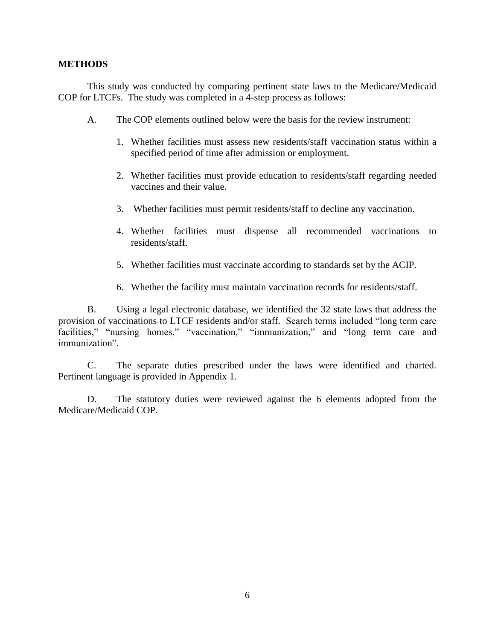## **METHODS**

This study was conducted by comparing pertinent state laws to the Medicare/Medicaid COP for LTCFs. The study was completed in a 4-step process as follows:

- A. The COP elements outlined below were the basis for the review instrument:
	- 1. Whether facilities must assess new residents/staff vaccination status within a specified period of time after admission or employment.
	- 2. Whether facilities must provide education to residents/staff regarding needed vaccines and their value.
	- 3. Whether facilities must permit residents/staff to decline any vaccination.
	- 4. Whether facilities must dispense all recommended vaccinations to residents/staff.
	- 5. Whether facilities must vaccinate according to standards set by the ACIP.
	- 6. Whether the facility must maintain vaccination records for residents/staff.

B. Using a legal electronic database, we identified the 32 state laws that address the provision of vaccinations to LTCF residents and/or staff. Search terms included "long term care facilities," "nursing homes," "vaccination," "immunization," and "long term care and immunization".

C. The separate duties prescribed under the laws were identified and charted. Pertinent language is provided in Appendix 1.

D. The statutory duties were reviewed against the 6 elements adopted from the Medicare/Medicaid COP.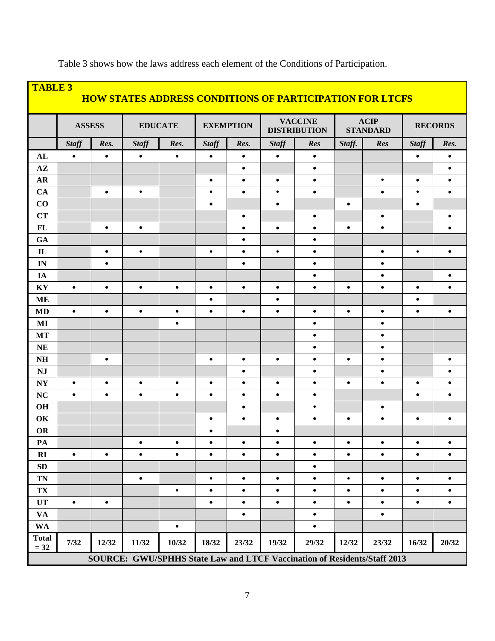| <b>TABLE 3</b><br><b>HOW STATES ADDRESS CONDITIONS OF PARTICIPATION FOR LTCFS</b> |                                                                          |           |                |           |                  |           |                                       |           |                                |           |                |           |
|-----------------------------------------------------------------------------------|--------------------------------------------------------------------------|-----------|----------------|-----------|------------------|-----------|---------------------------------------|-----------|--------------------------------|-----------|----------------|-----------|
|                                                                                   | <b>ASSESS</b>                                                            |           | <b>EDUCATE</b> |           | <b>EXEMPTION</b> |           | <b>VACCINE</b><br><b>DISTRIBUTION</b> |           | <b>ACIP</b><br><b>STANDARD</b> |           | <b>RECORDS</b> |           |
|                                                                                   | <b>Staff</b>                                                             | Res.      | <b>Staff</b>   | Res.      | <b>Staff</b>     | Res.      | <b>Staff</b>                          | Res       | Staff.                         | Res       | <b>Staff</b>   | Res.      |
| AL                                                                                | $\bullet$                                                                | $\bullet$ | $\bullet$      | $\bullet$ | $\bullet$        | $\bullet$ | $\bullet$                             | $\bullet$ |                                |           | $\bullet$      | $\bullet$ |
| $A\mathbf{Z}$                                                                     |                                                                          |           |                |           |                  | $\bullet$ |                                       | $\bullet$ |                                |           |                | $\bullet$ |
| <b>AR</b>                                                                         |                                                                          |           |                |           | $\bullet$        | $\bullet$ | $\bullet$                             | $\bullet$ |                                | $\bullet$ | $\bullet$      | $\bullet$ |
| CA                                                                                |                                                                          | $\bullet$ | $\bullet$      |           | $\bullet$        | $\bullet$ | $\bullet$                             | $\bullet$ |                                | $\bullet$ | $\bullet$      | $\bullet$ |
| CO                                                                                |                                                                          |           |                |           | $\bullet$        |           | $\bullet$                             |           | $\bullet$                      |           | $\bullet$      |           |
| <b>CT</b>                                                                         |                                                                          |           |                |           |                  | $\bullet$ |                                       | $\bullet$ |                                | $\bullet$ |                | $\bullet$ |
| FL                                                                                |                                                                          | $\bullet$ | $\bullet$      |           |                  | $\bullet$ | $\bullet$                             | $\bullet$ | $\bullet$                      | $\bullet$ |                | $\bullet$ |
| GA                                                                                |                                                                          |           |                |           |                  | $\bullet$ |                                       | $\bullet$ |                                |           |                |           |
| $\mathbf{I}$                                                                      |                                                                          | $\bullet$ | $\bullet$      |           | $\bullet$        | $\bullet$ | $\bullet$                             | $\bullet$ |                                | $\bullet$ | $\bullet$      | $\bullet$ |
| IN                                                                                |                                                                          | $\bullet$ |                |           |                  | $\bullet$ |                                       | $\bullet$ |                                | $\bullet$ |                |           |
| IA                                                                                |                                                                          |           |                |           |                  |           |                                       | $\bullet$ |                                | $\bullet$ |                | $\bullet$ |
| KY                                                                                | $\bullet$                                                                | $\bullet$ | $\bullet$      | $\bullet$ | $\bullet$        | $\bullet$ | $\bullet$                             | $\bullet$ | $\bullet$                      | $\bullet$ | $\bullet$      | $\bullet$ |
| <b>ME</b>                                                                         |                                                                          |           |                |           | $\bullet$        |           | $\bullet$                             |           |                                |           | $\bullet$      |           |
| <b>MD</b>                                                                         | $\bullet$                                                                | $\bullet$ | $\bullet$      | $\bullet$ | $\bullet$        | $\bullet$ | $\bullet$                             | $\bullet$ | $\bullet$                      | $\bullet$ | $\bullet$      | $\bullet$ |
| MI                                                                                |                                                                          |           |                | $\bullet$ |                  |           |                                       | $\bullet$ |                                | $\bullet$ |                |           |
| <b>MT</b>                                                                         |                                                                          |           |                |           |                  |           |                                       | $\bullet$ |                                | $\bullet$ |                |           |
| <b>NE</b>                                                                         |                                                                          |           |                |           |                  |           |                                       | $\bullet$ |                                | $\bullet$ |                |           |
| $\mathbf{N} \mathbf{H}$                                                           |                                                                          | $\bullet$ |                |           | $\bullet$        | $\bullet$ | $\bullet$                             | $\bullet$ | $\bullet$                      | $\bullet$ |                | $\bullet$ |
| <b>NJ</b>                                                                         |                                                                          |           |                |           |                  | $\bullet$ |                                       | $\bullet$ |                                | $\bullet$ |                | $\bullet$ |
| <b>NY</b>                                                                         | $\bullet$                                                                | $\bullet$ | $\bullet$      | $\bullet$ | $\bullet$        | $\bullet$ | $\bullet$                             | $\bullet$ | $\bullet$                      | $\bullet$ | $\bullet$      | $\bullet$ |
| NC                                                                                | $\bullet$                                                                | $\bullet$ | $\bullet$      | $\bullet$ | $\bullet$        | $\bullet$ | $\bullet$                             | $\bullet$ |                                |           | $\bullet$      | $\bullet$ |
| OH                                                                                |                                                                          |           |                |           |                  | $\bullet$ |                                       | $\bullet$ |                                | $\bullet$ |                |           |
| OK                                                                                |                                                                          |           |                |           | $\bullet$        | $\bullet$ | $\bullet$                             | $\bullet$ | $\bullet$                      | $\bullet$ | $\bullet$      | $\bullet$ |
| <b>OR</b>                                                                         |                                                                          |           |                |           | $\bullet$        |           | $\bullet$                             |           |                                |           |                |           |
| PA                                                                                |                                                                          |           | ٠              | $\bullet$ | $\bullet$        | $\bullet$ | $\bullet$                             | $\bullet$ | $\bullet$                      | $\bullet$ | $\bullet$      | $\bullet$ |
| RI                                                                                | $\bullet$                                                                | $\bullet$ | $\bullet$      | $\bullet$ | $\bullet$        | $\bullet$ | $\bullet$                             | $\bullet$ | $\bullet$                      | $\bullet$ | $\bullet$      | $\bullet$ |
| ${\bf SD}$                                                                        |                                                                          |           |                |           |                  |           |                                       | $\bullet$ |                                |           |                |           |
| <b>TN</b>                                                                         |                                                                          |           | $\bullet$      |           | $\bullet$        | $\bullet$ | $\bullet$                             | $\bullet$ | $\bullet$                      | $\bullet$ | $\bullet$      | $\bullet$ |
| TX                                                                                |                                                                          |           |                | $\bullet$ | $\bullet$        | $\bullet$ | $\bullet$                             | $\bullet$ | $\bullet$                      | $\bullet$ | $\bullet$      | $\bullet$ |
| <b>UT</b>                                                                         | $\bullet$                                                                | $\bullet$ |                |           | $\bullet$        | $\bullet$ | $\bullet$                             | $\bullet$ | $\bullet$                      | $\bullet$ | $\bullet$      | $\bullet$ |
| <b>VA</b>                                                                         |                                                                          |           |                |           |                  | $\bullet$ |                                       | $\bullet$ |                                | $\bullet$ |                |           |
| <b>WA</b>                                                                         |                                                                          |           |                | $\bullet$ |                  |           |                                       | $\bullet$ |                                |           |                |           |
| <b>Total</b><br>$= 32$                                                            | 7/32                                                                     | 12/32     | 11/32          | 10/32     | 18/32            | 23/32     | 19/32                                 | 29/32     | 12/32                          | 23/32     | 16/32          | 20/32     |
|                                                                                   | SOURCE: GWU/SPHHS State Law and LTCF Vaccination of Residents/Staff 2013 |           |                |           |                  |           |                                       |           |                                |           |                |           |

Table 3 shows how the laws address each element of the Conditions of Participation.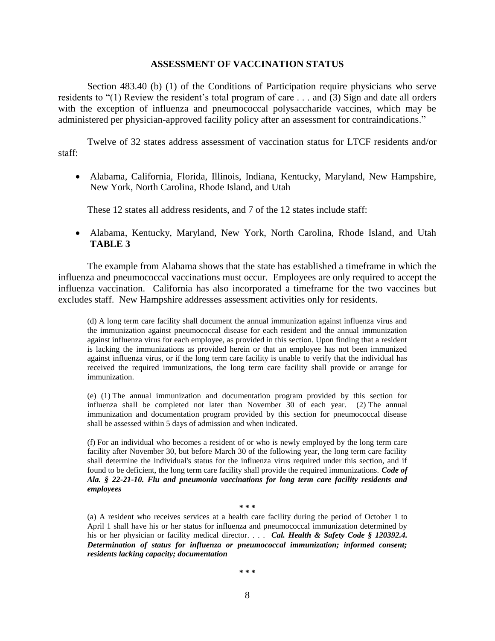#### **ASSESSMENT OF VACCINATION STATUS**

Section 483.40 (b) (1) of the Conditions of Participation require physicians who serve residents to "(1) Review the resident's total program of care . . . and (3) Sign and date all orders with the exception of influenza and pneumococcal polysaccharide vaccines, which may be administered per physician-approved facility policy after an assessment for contraindications."

Twelve of 32 states address assessment of vaccination status for LTCF residents and/or staff:

 Alabama, California, Florida, Illinois, Indiana, Kentucky, Maryland, New Hampshire, New York, North Carolina, Rhode Island, and Utah

These 12 states all address residents, and 7 of the 12 states include staff:

 Alabama, Kentucky, Maryland, New York, North Carolina, Rhode Island, and Utah **TABLE 3**

The example from Alabama shows that the state has established a timeframe in which the influenza and pneumococcal vaccinations must occur. Employees are only required to accept the influenza vaccination. California has also incorporated a timeframe for the two vaccines but excludes staff. New Hampshire addresses assessment activities only for residents.

(d) A long term care facility shall document the annual immunization against influenza virus and the immunization against pneumococcal disease for each resident and the annual immunization against influenza virus for each employee, as provided in this section. Upon finding that a resident is lacking the immunizations as provided herein or that an employee has not been immunized against influenza virus, or if the long term care facility is unable to verify that the individual has received the required immunizations, the long term care facility shall provide or arrange for immunization.

(e) (1) The annual immunization and documentation program provided by this section for influenza shall be completed not later than November 30 of each year. (2) The annual immunization and documentation program provided by this section for pneumococcal disease shall be assessed within 5 days of admission and when indicated.

(f) For an individual who becomes a resident of or who is newly employed by the long term care facility after November 30, but before March 30 of the following year, the long term care facility shall determine the individual's status for the influenza virus required under this section, and if found to be deficient, the long term care facility shall provide the required immunizations. *Code of Ala. § 22-21-10. Flu and pneumonia vaccinations for long term care facility residents and employees*

#### **\* \* \***

(a) A resident who receives services at a health care facility during the period of October 1 to April 1 shall have his or her status for influenza and pneumococcal immunization determined by his or her physician or facility medical director. . . . *Cal. Health & Safety Code § 120392.4. Determination of status for influenza or pneumococcal immunization; informed consent; residents lacking capacity; documentation*

**\* \* \***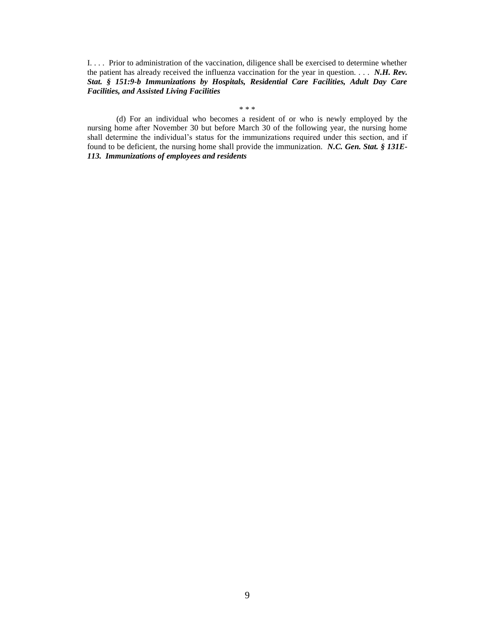I. . . . Prior to administration of the vaccination, diligence shall be exercised to determine whether the patient has already received the influenza vaccination for the year in question. . . . *N.H. Rev. Stat. § 151:9-b Immunizations by Hospitals, Residential Care Facilities, Adult Day Care Facilities, and Assisted Living Facilities*

\* \* \*

(d) For an individual who becomes a resident of or who is newly employed by the nursing home after November 30 but before March 30 of the following year, the nursing home shall determine the individual's status for the immunizations required under this section, and if found to be deficient, the nursing home shall provide the immunization. *N.C. Gen. Stat. § 131E-113. Immunizations of employees and residents*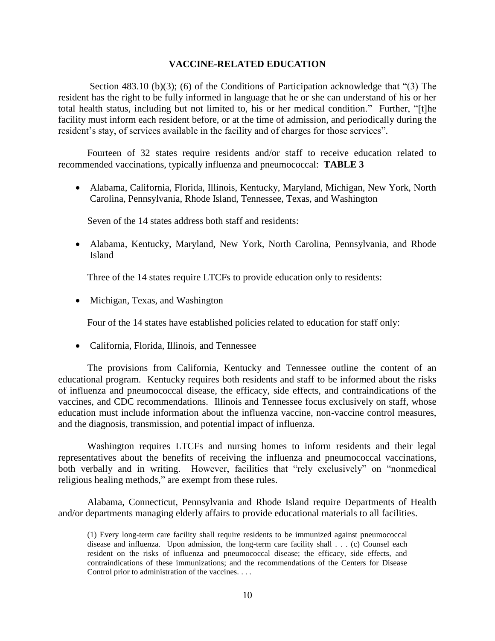#### **VACCINE-RELATED EDUCATION**

Section 483.10 (b)(3); (6) of the Conditions of Participation acknowledge that "(3) The resident has the right to be fully informed in language that he or she can understand of his or her total health status, including but not limited to, his or her medical condition." Further, "[t]he facility must inform each resident before, or at the time of admission, and periodically during the resident's stay, of services available in the facility and of charges for those services".

Fourteen of 32 states require residents and/or staff to receive education related to recommended vaccinations, typically influenza and pneumococcal: **TABLE 3**

 Alabama, California, Florida, Illinois, Kentucky, Maryland, Michigan, New York, North Carolina, Pennsylvania, Rhode Island, Tennessee, Texas, and Washington

Seven of the 14 states address both staff and residents:

 Alabama, Kentucky, Maryland, New York, North Carolina, Pennsylvania, and Rhode Island

Three of the 14 states require LTCFs to provide education only to residents:

• Michigan, Texas, and Washington

Four of the 14 states have established policies related to education for staff only:

California, Florida, Illinois, and Tennessee

The provisions from California, Kentucky and Tennessee outline the content of an educational program. Kentucky requires both residents and staff to be informed about the risks of influenza and pneumococcal disease, the efficacy, side effects, and contraindications of the vaccines, and CDC recommendations. Illinois and Tennessee focus exclusively on staff, whose education must include information about the influenza vaccine, non-vaccine control measures, and the diagnosis, transmission, and potential impact of influenza.

Washington requires LTCFs and nursing homes to inform residents and their legal representatives about the benefits of receiving the influenza and pneumococcal vaccinations, both verbally and in writing. However, facilities that "rely exclusively" on "nonmedical religious healing methods," are exempt from these rules.

Alabama, Connecticut, Pennsylvania and Rhode Island require Departments of Health and/or departments managing elderly affairs to provide educational materials to all facilities.

<sup>(1)</sup> Every long-term care facility shall require residents to be immunized against pneumococcal disease and influenza. Upon admission, the long-term care facility shall . . . (c) Counsel each resident on the risks of influenza and pneumococcal disease; the efficacy, side effects, and contraindications of these immunizations; and the recommendations of the Centers for Disease Control prior to administration of the vaccines. . . .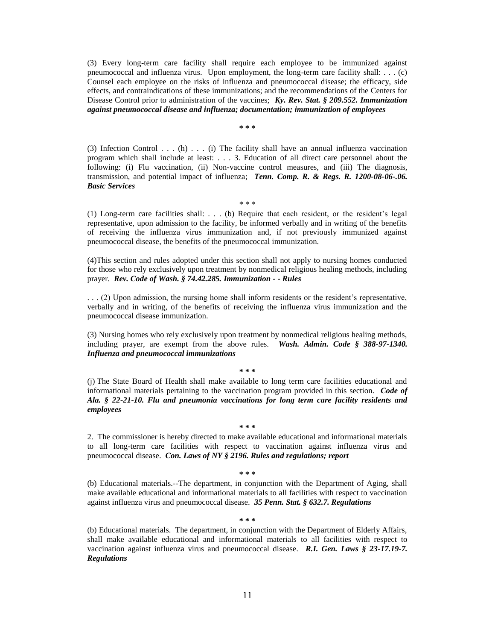(3) Every long-term care facility shall require each employee to be immunized against pneumococcal and influenza virus. Upon employment, the long-term care facility shall: . . . (c) Counsel each employee on the risks of influenza and pneumococcal disease; the efficacy, side effects, and contraindications of these immunizations; and the recommendations of the Centers for Disease Control prior to administration of the vaccines; *Ky. Rev. Stat. § 209.552. Immunization against pneumococcal disease and influenza; documentation; immunization of employees*

**\* \* \*** 

(3) Infection Control . . . (h)  $\ldots$  (i) The facility shall have an annual influenza vaccination program which shall include at least: . . . 3. Education of all direct care personnel about the following: (i) Flu vaccination, (ii) Non-vaccine control measures, and (iii) The diagnosis, transmission, and potential impact of influenza; *Tenn. Comp. R. & Regs. R. 1200-08-06-.06. Basic Services*

\* \* \*

(1) Long-term care facilities shall: . . . (b) Require that each resident, or the resident's legal representative, upon admission to the facility, be informed verbally and in writing of the benefits of receiving the influenza virus immunization and, if not previously immunized against pneumococcal disease, the benefits of the pneumococcal immunization.

(4)This section and rules adopted under this section shall not apply to nursing homes conducted for those who rely exclusively upon treatment by nonmedical religious healing methods, including prayer. *Rev. Code of Wash. § 74.42.285. Immunization - - Rules*

. . . (2) Upon admission, the nursing home shall inform residents or the resident's representative, verbally and in writing, of the benefits of receiving the influenza virus immunization and the pneumococcal disease immunization.

(3) Nursing homes who rely exclusively upon treatment by nonmedical religious healing methods, including prayer, are exempt from the above rules. *Wash. Admin. Code § 388-97-1340. Influenza and pneumococcal immunizations*

**\* \* \*** 

(j) The State Board of Health shall make available to long term care facilities educational and informational materials pertaining to the vaccination program provided in this section. *Code of Ala. § 22-21-10. Flu and pneumonia vaccinations for long term care facility residents and employees*

#### **\* \* \***

2. The commissioner is hereby directed to make available educational and informational materials to all long-term care facilities with respect to vaccination against influenza virus and pneumococcal disease. *Con. Laws of NY § 2196. Rules and regulations; report*

#### **\* \* \***

(b) Educational materials.--The department, in conjunction with the Department of Aging, shall make available educational and informational materials to all facilities with respect to vaccination against influenza virus and pneumococcal disease. *35 Penn. Stat. § 632.7. Regulations*

**\* \* \***

(b) Educational materials. The department, in conjunction with the Department of Elderly Affairs, shall make available educational and informational materials to all facilities with respect to vaccination against influenza virus and pneumococcal disease. *R.I. Gen. Laws § 23-17.19-7. Regulations*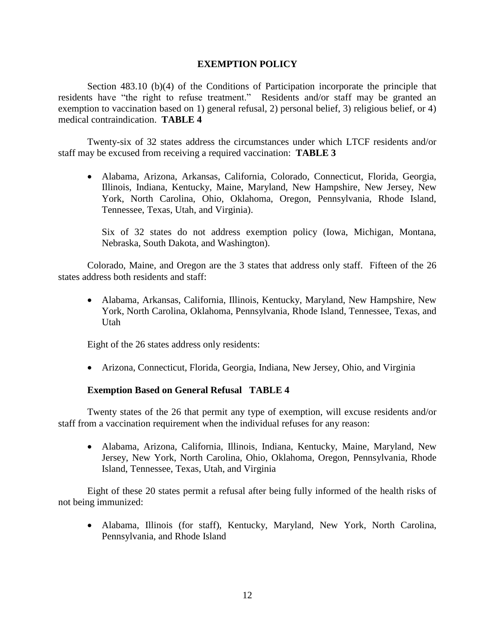## **EXEMPTION POLICY**

Section 483.10 (b)(4) of the Conditions of Participation incorporate the principle that residents have "the right to refuse treatment."Residents and/or staff may be granted an exemption to vaccination based on 1) general refusal, 2) personal belief, 3) religious belief, or 4) medical contraindication. **TABLE 4** 

Twenty-six of 32 states address the circumstances under which LTCF residents and/or staff may be excused from receiving a required vaccination: **TABLE 3**

 Alabama, Arizona, Arkansas, California, Colorado, Connecticut, Florida, Georgia, Illinois, Indiana, Kentucky, Maine, Maryland, New Hampshire, New Jersey, New York, North Carolina, Ohio, Oklahoma, Oregon, Pennsylvania, Rhode Island, Tennessee, Texas, Utah, and Virginia).

Six of 32 states do not address exemption policy (Iowa, Michigan, Montana, Nebraska, South Dakota, and Washington).

Colorado, Maine, and Oregon are the 3 states that address only staff. Fifteen of the 26 states address both residents and staff:

 Alabama, Arkansas, California, Illinois, Kentucky, Maryland, New Hampshire, New York, North Carolina, Oklahoma, Pennsylvania, Rhode Island, Tennessee, Texas, and Utah

Eight of the 26 states address only residents:

Arizona, Connecticut, Florida, Georgia, Indiana, New Jersey, Ohio, and Virginia

## **Exemption Based on General Refusal TABLE 4**

Twenty states of the 26 that permit any type of exemption, will excuse residents and/or staff from a vaccination requirement when the individual refuses for any reason:

 Alabama, Arizona, California, Illinois, Indiana, Kentucky, Maine, Maryland, New Jersey, New York, North Carolina, Ohio, Oklahoma, Oregon, Pennsylvania, Rhode Island, Tennessee, Texas, Utah, and Virginia

Eight of these 20 states permit a refusal after being fully informed of the health risks of not being immunized:

 Alabama, Illinois (for staff), Kentucky, Maryland, New York, North Carolina, Pennsylvania, and Rhode Island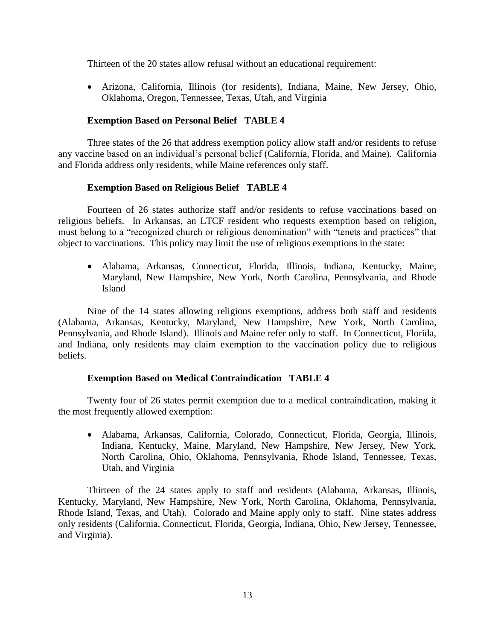Thirteen of the 20 states allow refusal without an educational requirement:

 Arizona, California, Illinois (for residents), Indiana, Maine, New Jersey, Ohio, Oklahoma, Oregon, Tennessee, Texas, Utah, and Virginia

## **Exemption Based on Personal Belief TABLE 4**

Three states of the 26 that address exemption policy allow staff and/or residents to refuse any vaccine based on an individual's personal belief (California, Florida, and Maine). California and Florida address only residents, while Maine references only staff.

## **Exemption Based on Religious Belief TABLE 4**

Fourteen of 26 states authorize staff and/or residents to refuse vaccinations based on religious beliefs. In Arkansas, an LTCF resident who requests exemption based on religion, must belong to a "recognized church or religious denomination" with "tenets and practices" that object to vaccinations. This policy may limit the use of religious exemptions in the state:

 Alabama, Arkansas, Connecticut, Florida, Illinois, Indiana, Kentucky, Maine, Maryland, New Hampshire, New York, North Carolina, Pennsylvania, and Rhode Island

Nine of the 14 states allowing religious exemptions, address both staff and residents (Alabama, Arkansas, Kentucky, Maryland, New Hampshire, New York, North Carolina, Pennsylvania, and Rhode Island). Illinois and Maine refer only to staff. In Connecticut, Florida, and Indiana, only residents may claim exemption to the vaccination policy due to religious beliefs.

## **Exemption Based on Medical Contraindication TABLE 4**

Twenty four of 26 states permit exemption due to a medical contraindication, making it the most frequently allowed exemption:

 Alabama, Arkansas, California, Colorado, Connecticut, Florida, Georgia, Illinois, Indiana, Kentucky, Maine, Maryland, New Hampshire, New Jersey, New York, North Carolina, Ohio, Oklahoma, Pennsylvania, Rhode Island, Tennessee, Texas, Utah, and Virginia

Thirteen of the 24 states apply to staff and residents (Alabama, Arkansas, Illinois, Kentucky, Maryland, New Hampshire, New York, North Carolina, Oklahoma, Pennsylvania, Rhode Island, Texas, and Utah). Colorado and Maine apply only to staff. Nine states address only residents (California, Connecticut, Florida, Georgia, Indiana, Ohio, New Jersey, Tennessee, and Virginia).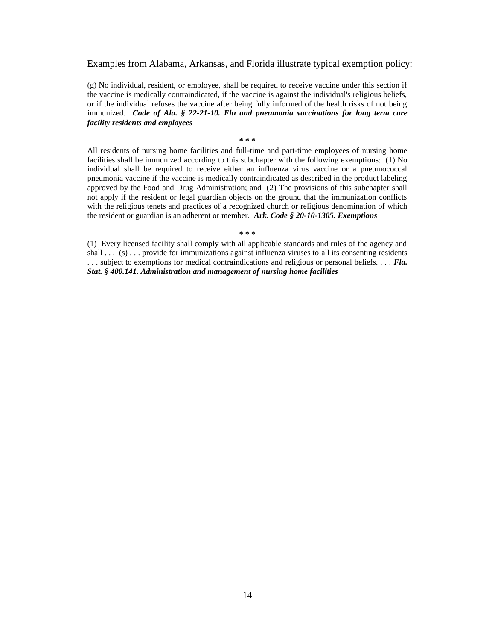Examples from Alabama, Arkansas, and Florida illustrate typical exemption policy:

(g) No individual, resident, or employee, shall be required to receive vaccine under this section if the vaccine is medically contraindicated, if the vaccine is against the individual's religious beliefs, or if the individual refuses the vaccine after being fully informed of the health risks of not being immunized. *Code of Ala. § 22-21-10. Flu and pneumonia vaccinations for long term care facility residents and employees*

#### **\* \* \***

All residents of nursing home facilities and full-time and part-time employees of nursing home facilities shall be immunized according to this subchapter with the following exemptions: (1) No individual shall be required to receive either an influenza virus vaccine or a pneumococcal pneumonia vaccine if the vaccine is medically contraindicated as described in the product labeling approved by the Food and Drug Administration; and (2) The provisions of this subchapter shall not apply if the resident or legal guardian objects on the ground that the immunization conflicts with the religious tenets and practices of a recognized church or religious denomination of which the resident or guardian is an adherent or member. *Ark. Code § 20-10-1305. Exemptions* 

#### **\* \* \***

(1) Every licensed facility shall comply with all applicable standards and rules of the agency and shall . . . (s) . . . provide for immunizations against influenza viruses to all its consenting residents . . . subject to exemptions for medical contraindications and religious or personal beliefs. . . . *Fla. Stat. § 400.141. Administration and management of nursing home facilities*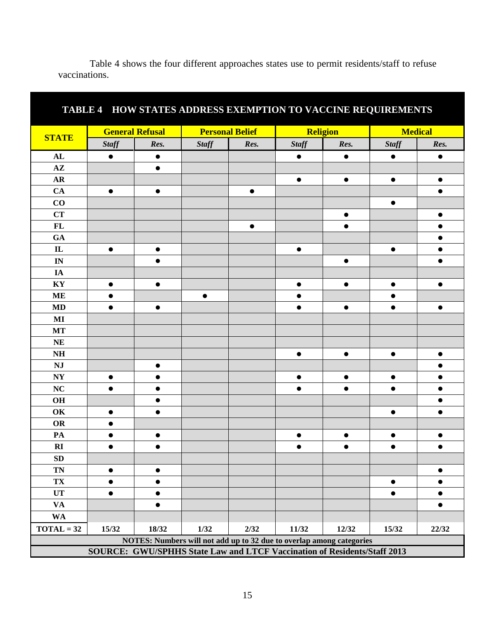| TABLE 4 HOW STATES ADDRESS EXEMPTION TO VACCINE REQUIREMENTS             |              |                        |              |                        |              |                                                                      |                |           |  |  |
|--------------------------------------------------------------------------|--------------|------------------------|--------------|------------------------|--------------|----------------------------------------------------------------------|----------------|-----------|--|--|
|                                                                          |              | <b>General Refusal</b> |              | <b>Personal Belief</b> |              | <b>Religion</b>                                                      | <b>Medical</b> |           |  |  |
| <b>STATE</b>                                                             | <b>Staff</b> | Res.                   | <b>Staff</b> | Res.                   | <b>Staff</b> | Res.                                                                 | <b>Staff</b>   | Res.      |  |  |
| AL                                                                       | $\bullet$    | $\bullet$              |              |                        | $\bullet$    | $\bullet$                                                            | $\bullet$      | $\bullet$ |  |  |
| $A\mathbf{Z}$                                                            |              | $\bullet$              |              |                        |              |                                                                      |                |           |  |  |
| <b>AR</b>                                                                |              |                        |              |                        |              | $\bullet$                                                            | $\bullet$      | $\bullet$ |  |  |
| CA                                                                       | $\bullet$    | $\bullet$              |              | $\bullet$              |              |                                                                      |                | $\bullet$ |  |  |
| $\bf CO$                                                                 |              |                        |              |                        |              |                                                                      | $\bullet$      |           |  |  |
| CT                                                                       |              |                        |              |                        |              | $\bullet$                                                            |                | $\bullet$ |  |  |
| FL                                                                       |              |                        |              | $\bullet$              |              | $\bullet$                                                            |                | $\bullet$ |  |  |
| GA                                                                       |              |                        |              |                        |              |                                                                      |                |           |  |  |
| $\mathbf{L}$                                                             | $\bullet$    | $\bullet$              |              |                        | $\bullet$    |                                                                      | $\bullet$      |           |  |  |
| IN                                                                       |              |                        |              |                        |              | $\bullet$                                                            |                | $\bullet$ |  |  |
| IA                                                                       |              |                        |              |                        |              |                                                                      |                |           |  |  |
| $\mathbf{K}\mathbf{Y}$                                                   | $\bullet$    | $\bullet$              |              |                        | $\bullet$    | $\bullet$                                                            | $\bullet$      | $\bullet$ |  |  |
| <b>ME</b>                                                                |              |                        | $\bullet$    |                        |              |                                                                      | $\bullet$      |           |  |  |
| <b>MD</b>                                                                | $\bullet$    | $\bullet$              |              |                        | $\bullet$    | $\bullet$                                                            | $\bullet$      | $\bullet$ |  |  |
| MI                                                                       |              |                        |              |                        |              |                                                                      |                |           |  |  |
| MT                                                                       |              |                        |              |                        |              |                                                                      |                |           |  |  |
| <b>NE</b>                                                                |              |                        |              |                        |              |                                                                      |                |           |  |  |
| $\mathbf{N}\mathbf{H}$                                                   |              |                        |              |                        | $\bullet$    | $\bullet$                                                            | $\bullet$      | $\bullet$ |  |  |
| <b>NJ</b>                                                                |              | $\bullet$              |              |                        |              |                                                                      |                |           |  |  |
| $\bold{N}\bold{Y}$                                                       | $\bullet$    | $\bullet$              |              |                        | $\bullet$    | $\bullet$                                                            | $\bullet$      | $\bullet$ |  |  |
| NC                                                                       |              |                        |              |                        |              |                                                                      |                |           |  |  |
| O <sub>H</sub>                                                           |              | $\bullet$              |              |                        |              |                                                                      |                | $\bullet$ |  |  |
| OK                                                                       |              |                        |              |                        |              |                                                                      | $\bullet$      |           |  |  |
| <b>OR</b>                                                                |              |                        |              |                        |              |                                                                      |                |           |  |  |
| PA                                                                       |              |                        |              |                        |              | $\bullet$                                                            | $\bullet$      |           |  |  |
| RI                                                                       |              | $\bullet$              |              |                        |              | $\bullet$                                                            | $\bullet$      | $\bullet$ |  |  |
| SD                                                                       |              |                        |              |                        |              |                                                                      |                |           |  |  |
| <b>TN</b>                                                                | $\bullet$    | $\bullet$              |              |                        |              |                                                                      |                | $\bullet$ |  |  |
| TX                                                                       | $\bullet$    | $\bullet$              |              |                        |              |                                                                      | $\bullet$      | $\bullet$ |  |  |
| <b>UT</b>                                                                | $\bullet$    | $\bullet$              |              |                        |              |                                                                      | $\bullet$      | $\bullet$ |  |  |
| $\mathbf{V}\mathbf{A}$                                                   |              | $\bullet$              |              |                        |              |                                                                      |                | $\bullet$ |  |  |
| <b>WA</b>                                                                |              |                        |              |                        |              |                                                                      |                |           |  |  |
| $TOTAL = 32$                                                             | 15/32        | 18/32                  | 1/32         | 2/32                   | 11/32        | 12/32                                                                | 15/32          | 22/32     |  |  |
|                                                                          |              |                        |              |                        |              | NOTES: Numbers will not add up to 32 due to overlap among categories |                |           |  |  |
| SOURCE: GWU/SPHHS State Law and LTCF Vaccination of Residents/Staff 2013 |              |                        |              |                        |              |                                                                      |                |           |  |  |

Table 4 shows the four different approaches states use to permit residents/staff to refuse vaccinations.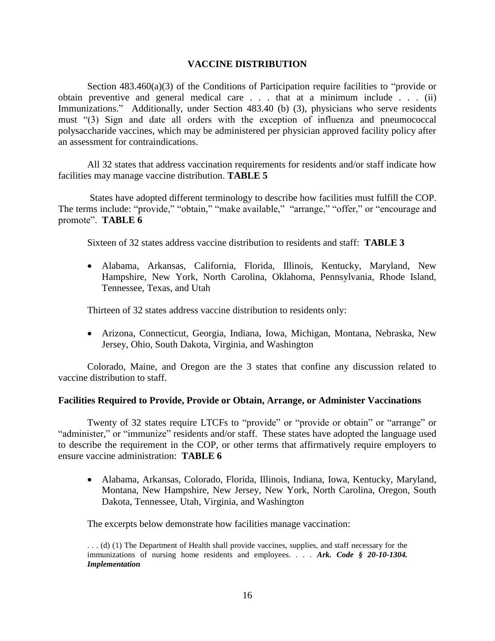### **VACCINE DISTRIBUTION**

Section  $483.460(a)(3)$  of the Conditions of Participation require facilities to "provide or obtain preventive and general medical care . . . that at a minimum include . . . (ii) Immunizations." Additionally, under Section 483.40 (b) (3), physicians who serve residents must "(3) Sign and date all orders with the exception of influenza and pneumococcal polysaccharide vaccines, which may be administered per physician approved facility policy after an assessment for contraindications.

All 32 states that address vaccination requirements for residents and/or staff indicate how facilities may manage vaccine distribution. **TABLE 5**

States have adopted different terminology to describe how facilities must fulfill the COP. The terms include: "provide," "obtain," "make available," "arrange," "offer," or "encourage and promote". **TABLE 6**

Sixteen of 32 states address vaccine distribution to residents and staff: **TABLE 3**

 Alabama, Arkansas, California, Florida, Illinois, Kentucky, Maryland, New Hampshire, New York, North Carolina, Oklahoma, Pennsylvania, Rhode Island, Tennessee, Texas, and Utah

Thirteen of 32 states address vaccine distribution to residents only:

 Arizona, Connecticut, Georgia, Indiana, Iowa, Michigan, Montana, Nebraska, New Jersey, Ohio, South Dakota, Virginia, and Washington

Colorado, Maine, and Oregon are the 3 states that confine any discussion related to vaccine distribution to staff.

## **Facilities Required to Provide, Provide or Obtain, Arrange, or Administer Vaccinations**

Twenty of 32 states require LTCFs to "provide" or "provide or obtain" or "arrange" or "administer," or "immunize" residents and/or staff. These states have adopted the language used to describe the requirement in the COP, or other terms that affirmatively require employers to ensure vaccine administration: **TABLE 6** 

 Alabama, Arkansas, Colorado, Florida, Illinois, Indiana, Iowa, Kentucky, Maryland, Montana, New Hampshire, New Jersey, New York, North Carolina, Oregon, South Dakota, Tennessee, Utah, Virginia, and Washington

The excerpts below demonstrate how facilities manage vaccination:

. . . (d) (1) The Department of Health shall provide vaccines, supplies, and staff necessary for the immunizations of nursing home residents and employees. . . . *Ark. Code § 20-10-1304. Implementation*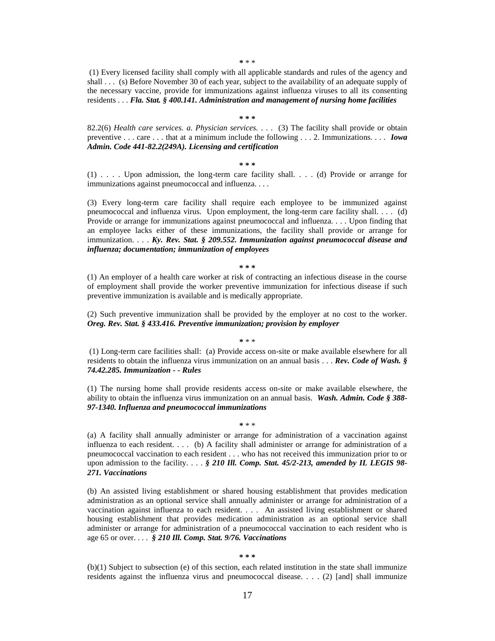**\*** \* \*

(1) Every licensed facility shall comply with all applicable standards and rules of the agency and shall . . . (s) Before November 30 of each year, subject to the availability of an adequate supply of the necessary vaccine, provide for immunizations against influenza viruses to all its consenting residents . . . *Fla. Stat. § 400.141. Administration and management of nursing home facilities*

#### **\* \* \***

82.2(6) *Health care services. a. Physician services.* . . . (3) The facility shall provide or obtain preventive . . . care . . . that at a minimum include the following . . . 2. Immunizations. . . . *Iowa Admin. Code 441-82.2(249A). Licensing and certification*

#### **\* \* \***

(1) . . . . Upon admission, the long-term care facility shall. . . . (d) Provide or arrange for immunizations against pneumococcal and influenza. . . .

(3) Every long-term care facility shall require each employee to be immunized against pneumococcal and influenza virus. Upon employment, the long-term care facility shall. . . . (d) Provide or arrange for immunizations against pneumococcal and influenza. . . . Upon finding that an employee lacks either of these immunizations, the facility shall provide or arrange for immunization. . . . *Ky. Rev. Stat. § 209.552. Immunization against pneumococcal disease and influenza; documentation; immunization of employees*

**\* \* \*** 

(1) An employer of a health care worker at risk of contracting an infectious disease in the course of employment shall provide the worker preventive immunization for infectious disease if such preventive immunization is available and is medically appropriate.

(2) Such preventive immunization shall be provided by the employer at no cost to the worker. *Oreg. Rev. Stat. § 433.416. Preventive immunization; provision by employer*

**\*** \* \*

(1) Long-term care facilities shall: (a) Provide access on-site or make available elsewhere for all residents to obtain the influenza virus immunization on an annual basis . . . *Rev. Code of Wash. § 74.42.285. Immunization - - Rules*

(1) The nursing home shall provide residents access on-site or make available elsewhere, the ability to obtain the influenza virus immunization on an annual basis. *Wash. Admin. Code § 388- 97-1340. Influenza and pneumococcal immunizations*

**\*** \* \*

(a) A facility shall annually administer or arrange for administration of a vaccination against influenza to each resident. . . . (b) A facility shall administer or arrange for administration of a pneumococcal vaccination to each resident . . . who has not received this immunization prior to or upon admission to the facility. . . . *§ 210 Ill. Comp. Stat. 45/2-213, amended by IL LEGIS 98- 271. Vaccinations*

(b) An assisted living establishment or shared housing establishment that provides medication administration as an optional service shall annually administer or arrange for administration of a vaccination against influenza to each resident. . . . An assisted living establishment or shared housing establishment that provides medication administration as an optional service shall administer or arrange for administration of a pneumococcal vaccination to each resident who is age 65 or over. . . . *§ 210 Ill. Comp. Stat. 9/76. Vaccinations*

**\* \* \***

(b)(1) Subject to subsection (e) of this section, each related institution in the state shall immunize residents against the influenza virus and pneumococcal disease. . . . (2) [and] shall immunize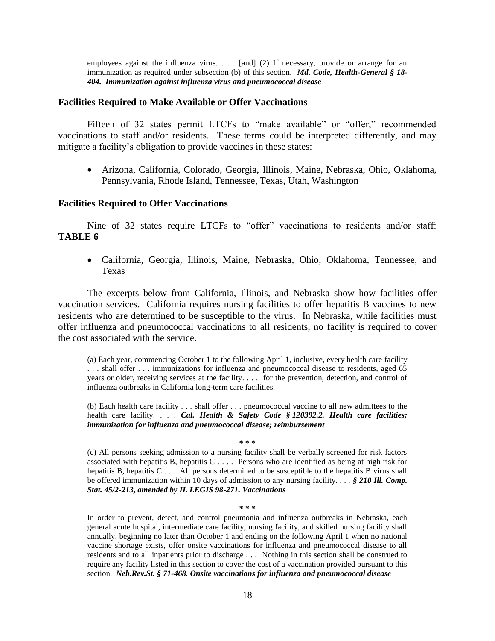employees against the influenza virus. . . . [and] (2) If necessary, provide or arrange for an immunization as required under subsection (b) of this section. *Md. Code, Health-General § 18- 404. Immunization against influenza virus and pneumococcal disease*

#### **Facilities Required to Make Available or Offer Vaccinations**

Fifteen of 32 states permit LTCFs to "make available" or "offer," recommended vaccinations to staff and/or residents. These terms could be interpreted differently, and may mitigate a facility's obligation to provide vaccines in these states:

 Arizona, California, Colorado, Georgia, Illinois, Maine, Nebraska, Ohio, Oklahoma, Pennsylvania, Rhode Island, Tennessee, Texas, Utah, Washington

#### **Facilities Required to Offer Vaccinations**

Nine of 32 states require LTCFs to "offer" vaccinations to residents and/or staff: **TABLE 6**

 California, Georgia, Illinois, Maine, Nebraska, Ohio, Oklahoma, Tennessee, and Texas

The excerpts below from California, Illinois, and Nebraska show how facilities offer vaccination services. California requires nursing facilities to offer hepatitis B vaccines to new residents who are determined to be susceptible to the virus. In Nebraska, while facilities must offer influenza and pneumococcal vaccinations to all residents, no facility is required to cover the cost associated with the service.

(a) Each year, commencing October 1 to the following April 1, inclusive, every health care facility . . . shall offer . . . immunizations for influenza and pneumococcal disease to residents, aged 65 years or older, receiving services at the facility. . . . for the prevention, detection, and control of influenza outbreaks in California long-term care facilities.

(b) Each health care facility . . . shall offer . . . pneumococcal vaccine to all new admittees to the health care facility. . . . *Cal. Health & Safety Code § 120392.2. Health care facilities; immunization for influenza and pneumococcal disease; reimbursement*

#### **\* \* \***

(c) All persons seeking admission to a nursing facility shall be verbally screened for risk factors associated with hepatitis B, hepatitis C . . . . Persons who are identified as being at high risk for hepatitis B, hepatitis C . . . All persons determined to be susceptible to the hepatitis B virus shall be offered immunization within 10 days of admission to any nursing facility. . . . *§ 210 Ill. Comp. Stat. 45/2-213, amended by IL LEGIS 98-271. Vaccinations*

**\* \* \*** 

In order to prevent, detect, and control pneumonia and influenza outbreaks in Nebraska, each general acute hospital, intermediate care facility, nursing facility, and skilled nursing facility shall annually, beginning no later than October 1 and ending on the following April 1 when no national vaccine shortage exists, offer onsite vaccinations for influenza and pneumococcal disease to all residents and to all inpatients prior to discharge . . . Nothing in this section shall be construed to require any facility listed in this section to cover the cost of a vaccination provided pursuant to this section. *Neb.Rev.St. § 71-468. Onsite vaccinations for influenza and pneumococcal disease*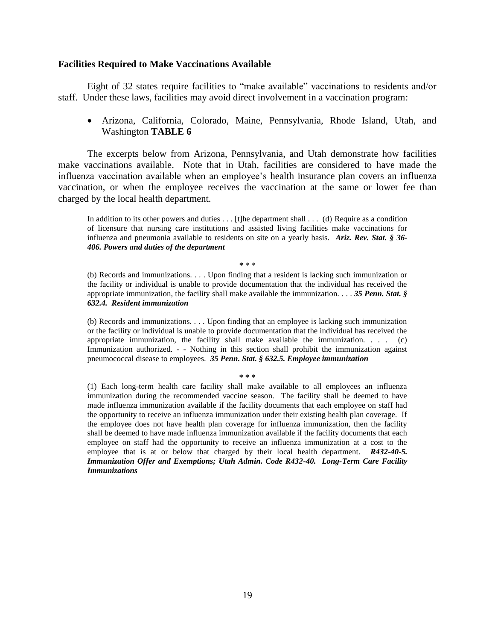#### **Facilities Required to Make Vaccinations Available**

Eight of 32 states require facilities to "make available" vaccinations to residents and/or staff. Under these laws, facilities may avoid direct involvement in a vaccination program:

 Arizona, California, Colorado, Maine, Pennsylvania, Rhode Island, Utah, and Washington **TABLE 6**

The excerpts below from Arizona, Pennsylvania, and Utah demonstrate how facilities make vaccinations available. Note that in Utah, facilities are considered to have made the influenza vaccination available when an employee's health insurance plan covers an influenza vaccination, or when the employee receives the vaccination at the same or lower fee than charged by the local health department.

In addition to its other powers and duties . . . [t]he department shall . . . (d) Require as a condition of licensure that nursing care institutions and assisted living facilities make vaccinations for influenza and pneumonia available to residents on site on a yearly basis. *Ariz. Rev. Stat. § 36- 406. Powers and duties of the department*

**\*** \* \*

(b) Records and immunizations. . . . Upon finding that a resident is lacking such immunization or the facility or individual is unable to provide documentation that the individual has received the appropriate immunization, the facility shall make available the immunization. . . . *35 Penn. Stat. § 632.4. Resident immunization*

(b) Records and immunizations. . . . Upon finding that an employee is lacking such immunization or the facility or individual is unable to provide documentation that the individual has received the appropriate immunization, the facility shall make available the immunization.  $\ldots$  (c) Immunization authorized. - - Nothing in this section shall prohibit the immunization against pneumococcal disease to employees. *35 Penn. Stat. § 632.5. Employee immunization*

#### **\* \* \***

(1) Each long-term health care facility shall make available to all employees an influenza immunization during the recommended vaccine season. The facility shall be deemed to have made influenza immunization available if the facility documents that each employee on staff had the opportunity to receive an influenza immunization under their existing health plan coverage. If the employee does not have health plan coverage for influenza immunization, then the facility shall be deemed to have made influenza immunization available if the facility documents that each employee on staff had the opportunity to receive an influenza immunization at a cost to the employee that is at or below that charged by their local health department. *R432-40-5. Immunization Offer and Exemptions; Utah Admin. Code R432-40. Long-Term Care Facility Immunizations*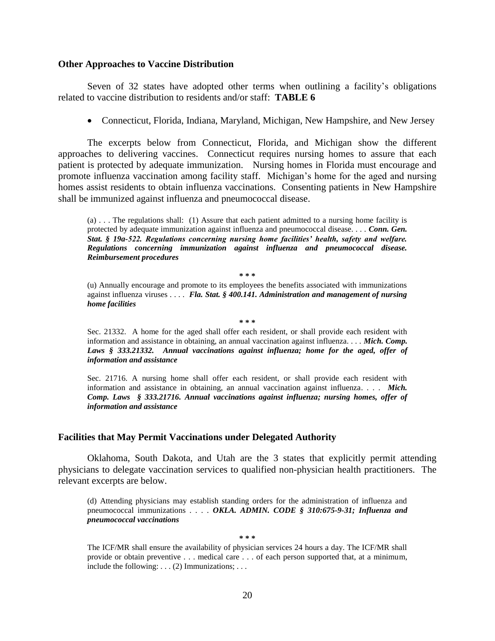#### **Other Approaches to Vaccine Distribution**

Seven of 32 states have adopted other terms when outlining a facility's obligations related to vaccine distribution to residents and/or staff: **TABLE 6**

Connecticut, Florida, Indiana, Maryland, Michigan, New Hampshire, and New Jersey

The excerpts below from Connecticut, Florida, and Michigan show the different approaches to delivering vaccines. Connecticut requires nursing homes to assure that each patient is protected by adequate immunization. Nursing homes in Florida must encourage and promote influenza vaccination among facility staff. Michigan's home for the aged and nursing homes assist residents to obtain influenza vaccinations. Consenting patients in New Hampshire shall be immunized against influenza and pneumococcal disease.

 $(a)$ ... The regulations shall: (1) Assure that each patient admitted to a nursing home facility is protected by adequate immunization against influenza and pneumococcal disease. . . . *Conn. Gen. Stat. § 19a-522. Regulations concerning nursing home facilities' health, safety and welfare. Regulations concerning immunization against influenza and pneumococcal disease. Reimbursement procedures*

**\* \* \***

(u) Annually encourage and promote to its employees the benefits associated with immunizations against influenza viruses . . . . *Fla. Stat. § 400.141. Administration and management of nursing home facilities*

**\* \* \*** 

Sec. 21332. A home for the aged shall offer each resident, or shall provide each resident with information and assistance in obtaining, an annual vaccination against influenza. . . . *Mich. Comp. Laws § 333.21332. Annual vaccinations against influenza; home for the aged, offer of information and assistance*

Sec. 21716. A nursing home shall offer each resident, or shall provide each resident with information and assistance in obtaining, an annual vaccination against influenza. . . . *Mich. Comp. Laws § 333.21716. Annual vaccinations against influenza; nursing homes, offer of information and assistance*

#### **Facilities that May Permit Vaccinations under Delegated Authority**

Oklahoma, South Dakota, and Utah are the 3 states that explicitly permit attending physicians to delegate vaccination services to qualified non-physician health practitioners. The relevant excerpts are below.

(d) Attending physicians may establish standing orders for the administration of influenza and pneumococcal immunizations . . . . *OKLA. ADMIN. CODE § 310:675-9-31; Influenza and pneumococcal vaccinations*

**\* \* \*** 

The ICF/MR shall ensure the availability of physician services 24 hours a day. The ICF/MR shall provide or obtain preventive . . . medical care . . . of each person supported that, at a minimum, include the following:  $\dots$  (2) Immunizations;  $\dots$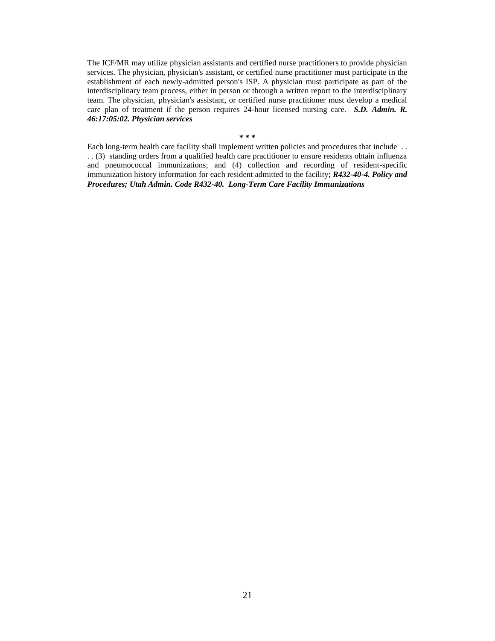The ICF/MR may utilize physician assistants and certified nurse practitioners to provide physician services. The physician, physician's assistant, or certified nurse practitioner must participate in the establishment of each newly-admitted person's ISP. A physician must participate as part of the interdisciplinary team process, either in person or through a written report to the interdisciplinary team. The physician, physician's assistant, or certified nurse practitioner must develop a medical care plan of treatment if the person requires 24-hour licensed nursing care. *S.D. Admin. R. 46:17:05:02. Physician services*

**\* \* \*** 

Each long-term health care facility shall implement written policies and procedures that include . . . . (3) standing orders from a qualified health care practitioner to ensure residents obtain influenza and pneumococcal immunizations; and (4) collection and recording of resident-specific immunization history information for each resident admitted to the facility; *R432-40-4. Policy and Procedures; Utah Admin. Code R432-40. Long-Term Care Facility Immunizations*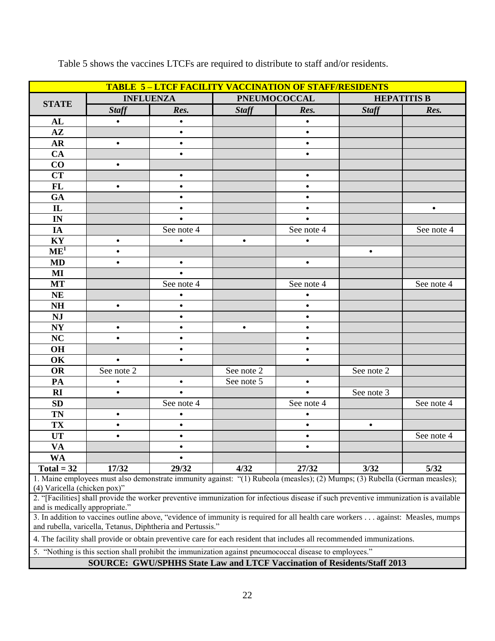| <b>TABLE 5-LTCF FACILITY VACCINATION OF STAFF/RESIDENTS</b>                                                                                                                         |                                                                                                                                                                                                |            |              |                     |              |                    |  |  |  |
|-------------------------------------------------------------------------------------------------------------------------------------------------------------------------------------|------------------------------------------------------------------------------------------------------------------------------------------------------------------------------------------------|------------|--------------|---------------------|--------------|--------------------|--|--|--|
|                                                                                                                                                                                     | <b>INFLUENZA</b>                                                                                                                                                                               |            |              | <b>PNEUMOCOCCAL</b> |              | <b>HEPATITIS B</b> |  |  |  |
| <b>STATE</b>                                                                                                                                                                        | <b>Staff</b>                                                                                                                                                                                   | Res.       | <b>Staff</b> | Res.                | <b>Staff</b> | Res.               |  |  |  |
| AL                                                                                                                                                                                  | $\bullet$                                                                                                                                                                                      | $\bullet$  |              | $\bullet$           |              |                    |  |  |  |
| $A\mathbf{Z}$                                                                                                                                                                       |                                                                                                                                                                                                |            |              |                     |              |                    |  |  |  |
| <b>AR</b>                                                                                                                                                                           | $\bullet$                                                                                                                                                                                      | $\bullet$  |              | $\bullet$           |              |                    |  |  |  |
| <b>CA</b>                                                                                                                                                                           |                                                                                                                                                                                                | $\bullet$  |              | $\bullet$           |              |                    |  |  |  |
| CO                                                                                                                                                                                  | $\bullet$                                                                                                                                                                                      |            |              |                     |              |                    |  |  |  |
| <b>CT</b>                                                                                                                                                                           |                                                                                                                                                                                                | $\bullet$  |              | $\bullet$           |              |                    |  |  |  |
| FL                                                                                                                                                                                  | $\bullet$                                                                                                                                                                                      | $\bullet$  |              | $\bullet$           |              |                    |  |  |  |
| GA                                                                                                                                                                                  |                                                                                                                                                                                                | $\bullet$  |              | $\bullet$           |              |                    |  |  |  |
| $\mathbf{L}$                                                                                                                                                                        |                                                                                                                                                                                                | $\bullet$  |              | $\bullet$           |              | $\bullet$          |  |  |  |
| IN                                                                                                                                                                                  |                                                                                                                                                                                                |            |              | $\bullet$           |              |                    |  |  |  |
| IA                                                                                                                                                                                  |                                                                                                                                                                                                | See note 4 |              | See note 4          |              | See note 4         |  |  |  |
| KY                                                                                                                                                                                  | $\bullet$                                                                                                                                                                                      | $\bullet$  | $\bullet$    | $\bullet$           |              |                    |  |  |  |
| $\overline{\text{ME}^1}$                                                                                                                                                            | ٠                                                                                                                                                                                              |            |              |                     | $\bullet$    |                    |  |  |  |
| <b>MD</b>                                                                                                                                                                           | $\bullet$                                                                                                                                                                                      | $\bullet$  |              | $\bullet$           |              |                    |  |  |  |
| MI                                                                                                                                                                                  |                                                                                                                                                                                                |            |              |                     |              |                    |  |  |  |
| <b>MT</b>                                                                                                                                                                           |                                                                                                                                                                                                | See note 4 |              | See note 4          |              | See note 4         |  |  |  |
| <b>NE</b>                                                                                                                                                                           |                                                                                                                                                                                                |            |              |                     |              |                    |  |  |  |
| <b>NH</b>                                                                                                                                                                           | $\bullet$                                                                                                                                                                                      |            |              | $\bullet$           |              |                    |  |  |  |
| <b>NJ</b>                                                                                                                                                                           |                                                                                                                                                                                                |            |              | $\bullet$           |              |                    |  |  |  |
| N <sub>Y</sub>                                                                                                                                                                      | $\bullet$                                                                                                                                                                                      | $\bullet$  | $\bullet$    | $\bullet$           |              |                    |  |  |  |
| <b>NC</b>                                                                                                                                                                           | $\bullet$                                                                                                                                                                                      | $\bullet$  |              | $\bullet$           |              |                    |  |  |  |
| OH                                                                                                                                                                                  |                                                                                                                                                                                                | $\bullet$  |              | $\bullet$           |              |                    |  |  |  |
| OK                                                                                                                                                                                  | $\bullet$                                                                                                                                                                                      | $\bullet$  |              | $\bullet$           |              |                    |  |  |  |
| <b>OR</b>                                                                                                                                                                           | See note 2                                                                                                                                                                                     |            | See note 2   |                     | See note 2   |                    |  |  |  |
| PA                                                                                                                                                                                  | $\bullet$                                                                                                                                                                                      | $\bullet$  | See note 5   | $\bullet$           |              |                    |  |  |  |
| RI                                                                                                                                                                                  | $\bullet$                                                                                                                                                                                      | $\bullet$  |              | $\bullet$           | See note 3   |                    |  |  |  |
| <b>SD</b>                                                                                                                                                                           |                                                                                                                                                                                                | See note 4 |              | See note 4          |              | See note 4         |  |  |  |
| <b>TN</b>                                                                                                                                                                           | ٠                                                                                                                                                                                              | $\bullet$  |              | $\bullet$           |              |                    |  |  |  |
| TX                                                                                                                                                                                  | ٠                                                                                                                                                                                              | $\bullet$  |              | $\bullet$           | $\bullet$    |                    |  |  |  |
| <b>UT</b>                                                                                                                                                                           | $\bullet$                                                                                                                                                                                      | $\bullet$  |              | $\bullet$           |              | See note 4         |  |  |  |
| VA                                                                                                                                                                                  |                                                                                                                                                                                                |            |              |                     |              |                    |  |  |  |
| <b>WA</b>                                                                                                                                                                           |                                                                                                                                                                                                |            |              |                     |              |                    |  |  |  |
| $Total = 32$                                                                                                                                                                        | 17/32                                                                                                                                                                                          | 29/32      | 4/32         | 27/32               | 3/32         | 5/32               |  |  |  |
|                                                                                                                                                                                     | 1. Maine employees must also demonstrate immunity against: "(1) Rubeola (measles); (2) Mumps; (3) Rubella (German measles);                                                                    |            |              |                     |              |                    |  |  |  |
| (4) Varicella (chicken pox)"                                                                                                                                                        |                                                                                                                                                                                                |            |              |                     |              |                    |  |  |  |
| and is medically appropriate."                                                                                                                                                      | 2. "[Facilities] shall provide the worker preventive immunization for infectious disease if such preventive immunization is available                                                          |            |              |                     |              |                    |  |  |  |
|                                                                                                                                                                                     |                                                                                                                                                                                                |            |              |                     |              |                    |  |  |  |
|                                                                                                                                                                                     | 3. In addition to vaccines outline above, "evidence of immunity is required for all health care workers against: Measles, mumps<br>and rubella, varicella, Tetanus, Diphtheria and Pertussis." |            |              |                     |              |                    |  |  |  |
|                                                                                                                                                                                     | 4. The facility shall provide or obtain preventive care for each resident that includes all recommended immunizations.                                                                         |            |              |                     |              |                    |  |  |  |
|                                                                                                                                                                                     |                                                                                                                                                                                                |            |              |                     |              |                    |  |  |  |
| 5. "Nothing is this section shall prohibit the immunization against pneumococcal disease to employees."<br>SOURCE: GWU/SPHHS State Law and LTCF Vaccination of Residents/Staff 2013 |                                                                                                                                                                                                |            |              |                     |              |                    |  |  |  |

Table 5 shows the vaccines LTCFs are required to distribute to staff and/or residents.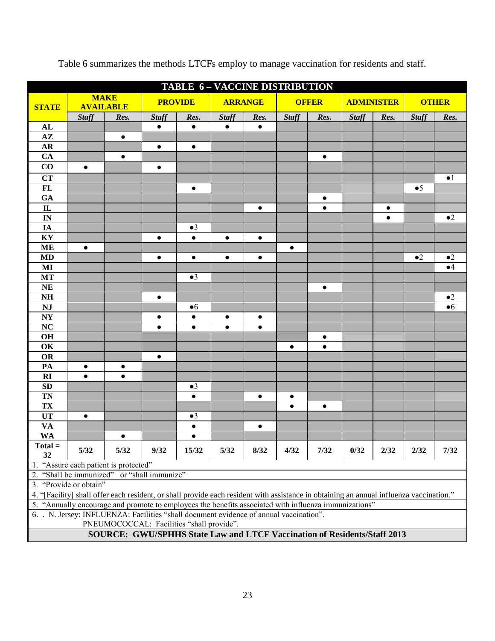| TABLE 6 - VACCINE DISTRIBUTION                                                                                                          |                                                                          |                                           |                |             |                |           |              |           |                   |           |              |                |
|-----------------------------------------------------------------------------------------------------------------------------------------|--------------------------------------------------------------------------|-------------------------------------------|----------------|-------------|----------------|-----------|--------------|-----------|-------------------|-----------|--------------|----------------|
| <b>STATE</b>                                                                                                                            | <b>MAKE</b><br><b>AVAILABLE</b>                                          |                                           | <b>PROVIDE</b> |             | <b>ARRANGE</b> |           | <b>OFFER</b> |           | <b>ADMINISTER</b> |           | <b>OTHER</b> |                |
|                                                                                                                                         | <b>Staff</b>                                                             | Res.                                      | <b>Staff</b>   | Res.        | <b>Staff</b>   | Res.      | <b>Staff</b> | Res.      | <b>Staff</b>      | Res.      | <b>Staff</b> | Res.           |
| AL                                                                                                                                      |                                                                          |                                           | $\bullet$      | $\bullet$   | $\bullet$      | $\bullet$ |              |           |                   |           |              |                |
| $\mathbf{A}\mathbf{Z}$                                                                                                                  |                                                                          | $\bullet$                                 |                |             |                |           |              |           |                   |           |              |                |
| <b>AR</b>                                                                                                                               |                                                                          |                                           | $\bullet$      | $\bullet$   |                |           |              |           |                   |           |              |                |
| CA                                                                                                                                      |                                                                          | $\bullet$                                 |                |             |                |           |              | $\bullet$ |                   |           |              |                |
| CO                                                                                                                                      | $\bullet$                                                                |                                           | $\bullet$      |             |                |           |              |           |                   |           |              |                |
| <b>CT</b>                                                                                                                               |                                                                          |                                           |                |             |                |           |              |           |                   |           |              | $\bullet$ 1    |
| <b>FL</b>                                                                                                                               |                                                                          |                                           |                | $\bullet$   |                |           |              |           |                   |           | $\bullet 5$  |                |
| GA                                                                                                                                      |                                                                          |                                           |                |             |                |           |              | ٠         |                   |           |              |                |
| $\mathbf{L}$                                                                                                                            |                                                                          |                                           |                |             |                | $\bullet$ |              | $\bullet$ |                   | $\bullet$ |              |                |
| IN                                                                                                                                      |                                                                          |                                           |                |             |                |           |              |           |                   | $\bullet$ |              | $\bullet 2$    |
| IA                                                                                                                                      |                                                                          |                                           |                | $\bullet 3$ |                |           |              |           |                   |           |              |                |
| KY                                                                                                                                      |                                                                          |                                           | $\bullet$      | $\bullet$   | $\bullet$      | $\bullet$ |              |           |                   |           |              |                |
| <b>ME</b>                                                                                                                               | $\bullet$                                                                |                                           |                |             |                |           | $\bullet$    |           |                   |           |              |                |
| <b>MD</b>                                                                                                                               |                                                                          |                                           | $\bullet$      | $\bullet$   | $\bullet$      | $\bullet$ |              |           |                   |           | $\bullet 2$  | $\bullet 2$    |
| MI                                                                                                                                      |                                                                          |                                           |                |             |                |           |              |           |                   |           |              | $\bullet$ 4    |
| <b>MT</b>                                                                                                                               |                                                                          |                                           |                | $\bullet 3$ |                |           |              |           |                   |           |              |                |
| <b>NE</b>                                                                                                                               |                                                                          |                                           |                |             |                |           |              | $\bullet$ |                   |           |              |                |
| <b>NH</b>                                                                                                                               |                                                                          |                                           | $\bullet$      |             |                |           |              |           |                   |           |              | $\bullet 2$    |
| <b>NJ</b>                                                                                                                               |                                                                          |                                           |                | •6          |                |           |              |           |                   |           |              | • <sub>6</sub> |
| <b>NY</b>                                                                                                                               |                                                                          |                                           | $\bullet$      | $\bullet$   | $\bullet$      | $\bullet$ |              |           |                   |           |              |                |
| $\overline{\text{NC}}$                                                                                                                  |                                                                          |                                           | $\bullet$      | $\bullet$   | $\bullet$      | $\bullet$ |              |           |                   |           |              |                |
| <b>OH</b>                                                                                                                               |                                                                          |                                           |                |             |                |           |              | $\bullet$ |                   |           |              |                |
| OK                                                                                                                                      |                                                                          |                                           |                |             |                |           | $\bullet$    | $\bullet$ |                   |           |              |                |
| OR                                                                                                                                      |                                                                          |                                           | $\bullet$      |             |                |           |              |           |                   |           |              |                |
| PA                                                                                                                                      | $\bullet$                                                                | $\bullet$                                 |                |             |                |           |              |           |                   |           |              |                |
| RI                                                                                                                                      | $\bullet$                                                                | $\bullet$                                 |                |             |                |           |              |           |                   |           |              |                |
| <b>SD</b>                                                                                                                               |                                                                          |                                           |                | $\bullet 3$ |                |           |              |           |                   |           |              |                |
| <b>TN</b>                                                                                                                               |                                                                          |                                           |                | $\bullet$   |                | $\bullet$ | $\bullet$    |           |                   |           |              |                |
| <b>TX</b>                                                                                                                               |                                                                          |                                           |                |             |                |           |              | $\bullet$ |                   |           |              |                |
| <b>UT</b>                                                                                                                               | $\bullet$                                                                |                                           |                | $\bullet$ 3 |                |           |              |           |                   |           |              |                |
| <b>VA</b>                                                                                                                               |                                                                          |                                           |                | $\bullet$   |                | $\bullet$ |              |           |                   |           |              |                |
| <b>WA</b>                                                                                                                               |                                                                          | $\bullet$                                 |                | $\bullet$   |                |           |              |           |                   |           |              |                |
| $Total =$<br>32                                                                                                                         | 5/32                                                                     | 5/32                                      | 9/32           | 15/32       | 5/32           | 8/32      | 4/32         | 7/32      | 0/32              | 2/32      | 2/32         | 7/32           |
|                                                                                                                                         | 1. "Assure each patient is protected"                                    |                                           |                |             |                |           |              |           |                   |           |              |                |
| 2. "Shall be immunized" or "shall immunize"                                                                                             |                                                                          |                                           |                |             |                |           |              |           |                   |           |              |                |
| 3. "Provide or obtain"                                                                                                                  |                                                                          |                                           |                |             |                |           |              |           |                   |           |              |                |
| 4. "[Facility] shall offer each resident, or shall provide each resident with assistance in obtaining an annual influenza vaccination." |                                                                          |                                           |                |             |                |           |              |           |                   |           |              |                |
| 5. "Annually encourage and promote to employees the benefits associated with influenza immunizations"                                   |                                                                          |                                           |                |             |                |           |              |           |                   |           |              |                |
| 6. . N. Jersey: INFLUENZA: Facilities "shall document evidence of annual vaccination".                                                  |                                                                          |                                           |                |             |                |           |              |           |                   |           |              |                |
|                                                                                                                                         |                                                                          | PNEUMOCOCCAL: Facilities "shall provide". |                |             |                |           |              |           |                   |           |              |                |
|                                                                                                                                         | SOURCE: GWU/SPHHS State Law and LTCF Vaccination of Residents/Staff 2013 |                                           |                |             |                |           |              |           |                   |           |              |                |

Table 6 summarizes the methods LTCFs employ to manage vaccination for residents and staff.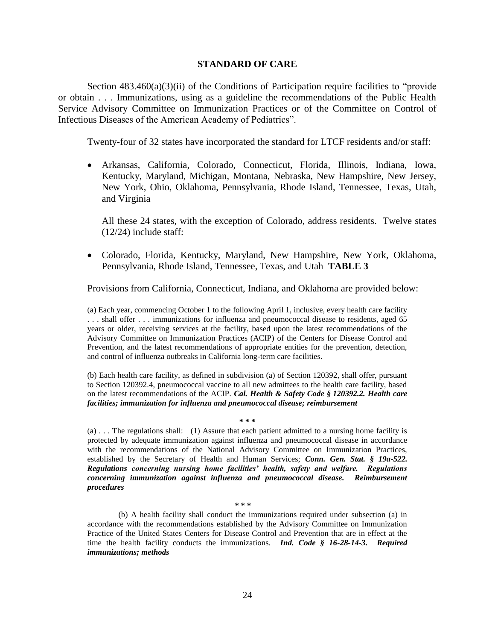#### **STANDARD OF CARE**

Section  $483.460(a)(3)(ii)$  of the Conditions of Participation require facilities to "provide" or obtain . . . Immunizations, using as a guideline the recommendations of the Public Health Service Advisory Committee on Immunization Practices or of the Committee on Control of Infectious Diseases of the American Academy of Pediatrics".

Twenty-four of 32 states have incorporated the standard for LTCF residents and/or staff:

 Arkansas, California, Colorado, Connecticut, Florida, Illinois, Indiana, Iowa, Kentucky, Maryland, Michigan, Montana, Nebraska, New Hampshire, New Jersey, New York, Ohio, Oklahoma, Pennsylvania, Rhode Island, Tennessee, Texas, Utah, and Virginia

All these 24 states, with the exception of Colorado, address residents. Twelve states (12/24) include staff:

 Colorado, Florida, Kentucky, Maryland, New Hampshire, New York, Oklahoma, Pennsylvania, Rhode Island, Tennessee, Texas, and Utah **TABLE 3**

Provisions from California, Connecticut, Indiana, and Oklahoma are provided below:

(a) Each year, commencing October 1 to the following April 1, inclusive, every health care facility . . . shall offer . . . immunizations for influenza and pneumococcal disease to residents, aged 65 years or older, receiving services at the facility, based upon the latest recommendations of the Advisory Committee on Immunization Practices (ACIP) of the Centers for Disease Control and Prevention, and the latest recommendations of appropriate entities for the prevention, detection, and control of influenza outbreaks in California long-term care facilities.

(b) Each health care facility, as defined in subdivision (a) of Section 120392, shall offer, pursuant to Section 120392.4, pneumococcal vaccine to all new admittees to the health care facility, based on the latest recommendations of the ACIP. *Cal. Health & Safety Code § 120392.2. Health care facilities; immunization for influenza and pneumococcal disease; reimbursement*

**\* \* \*** 

(a) . . . The regulations shall: (1) Assure that each patient admitted to a nursing home facility is protected by adequate immunization against influenza and pneumococcal disease in accordance with the recommendations of the National Advisory Committee on Immunization Practices, established by the Secretary of Health and Human Services; *Conn. Gen. Stat. § 19a-522. Regulations concerning nursing home facilities' health, safety and welfare. Regulations concerning immunization against influenza and pneumococcal disease. Reimbursement procedures*

**\* \* \***

(b) A health facility shall conduct the immunizations required under subsection (a) in accordance with the recommendations established by the Advisory Committee on Immunization Practice of the United States Centers for Disease Control and Prevention that are in effect at the time the health facility conducts the immunizations. *Ind. Code § 16-28-14-3. Required immunizations; methods*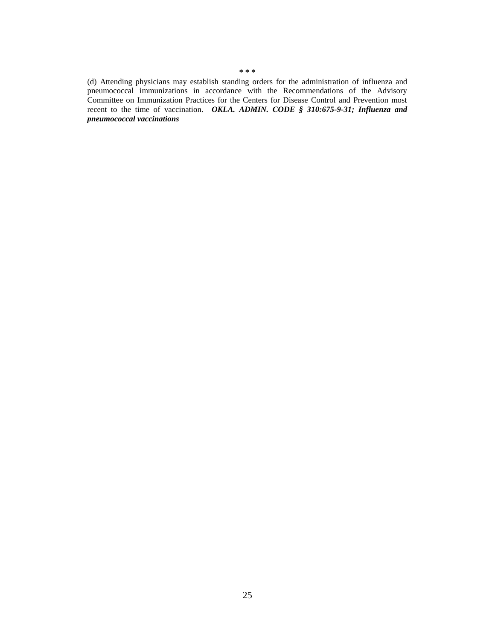(d) Attending physicians may establish standing orders for the administration of influenza and pneumococcal immunizations in accordance with the Recommendations of the Advisory Committee on Immunization Practices for the Centers for Disease Control and Prevention most recent to the time of vaccination. *OKLA. ADMIN. CODE § 310:675-9-31; Influenza and pneumococcal vaccinations*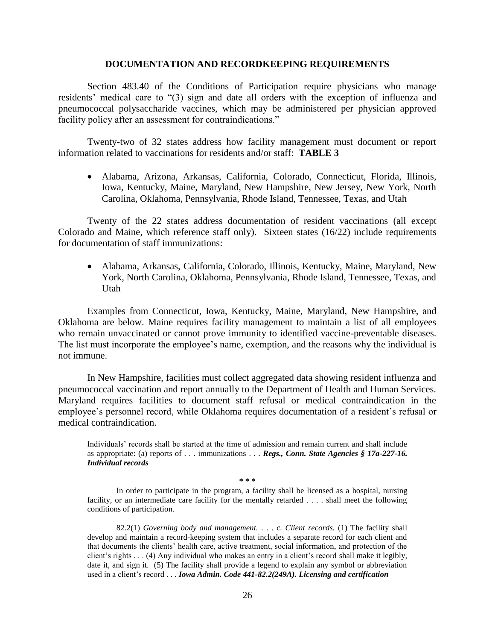#### **DOCUMENTATION AND RECORDKEEPING REQUIREMENTS**

Section 483.40 of the Conditions of Participation require physicians who manage residents' medical care to "(3) sign and date all orders with the exception of influenza and pneumococcal polysaccharide vaccines, which may be administered per physician approved facility policy after an assessment for contraindications."

Twenty-two of 32 states address how facility management must document or report information related to vaccinations for residents and/or staff: **TABLE 3**

 Alabama, Arizona, Arkansas, California, Colorado, Connecticut, Florida, Illinois, Iowa, Kentucky, Maine, Maryland, New Hampshire, New Jersey, New York, North Carolina, Oklahoma, Pennsylvania, Rhode Island, Tennessee, Texas, and Utah

Twenty of the 22 states address documentation of resident vaccinations (all except Colorado and Maine, which reference staff only). Sixteen states (16/22) include requirements for documentation of staff immunizations:

 Alabama, Arkansas, California, Colorado, Illinois, Kentucky, Maine, Maryland, New York, North Carolina, Oklahoma, Pennsylvania, Rhode Island, Tennessee, Texas, and Utah

Examples from Connecticut, Iowa, Kentucky, Maine, Maryland, New Hampshire, and Oklahoma are below. Maine requires facility management to maintain a list of all employees who remain unvaccinated or cannot prove immunity to identified vaccine-preventable diseases. The list must incorporate the employee's name, exemption, and the reasons why the individual is not immune.

In New Hampshire, facilities must collect aggregated data showing resident influenza and pneumococcal vaccination and report annually to the Department of Health and Human Services. Maryland requires facilities to document staff refusal or medical contraindication in the employee's personnel record, while Oklahoma requires documentation of a resident's refusal or medical contraindication.

Individuals' records shall be started at the time of admission and remain current and shall include as appropriate: (a) reports of . . . immunizations . . . *Regs., Conn. State Agencies § 17a-227-16. Individual records*

**\* \* \*** 

In order to participate in the program, a facility shall be licensed as a hospital, nursing facility, or an intermediate care facility for the mentally retarded . . . . shall meet the following conditions of participation.

82.2(1) *Governing body and management.* . . . *c. Client records.* (1) The facility shall develop and maintain a record-keeping system that includes a separate record for each client and that documents the clients' health care, active treatment, social information, and protection of the client's rights . . . (4) Any individual who makes an entry in a client's record shall make it legibly, date it, and sign it. (5) The facility shall provide a legend to explain any symbol or abbreviation used in a client's record . . . *Iowa Admin. Code 441-82.2(249A). Licensing and certification*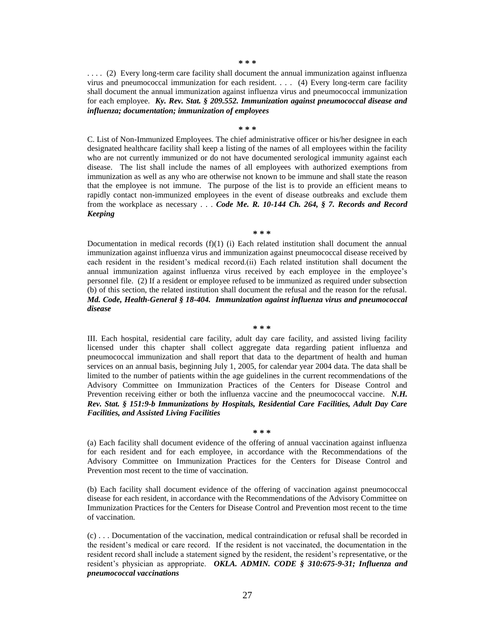**\* \* \*** 

. . . . (2) Every long-term care facility shall document the annual immunization against influenza virus and pneumococcal immunization for each resident. . . . (4) Every long-term care facility shall document the annual immunization against influenza virus and pneumococcal immunization for each employee. *Ky. Rev. Stat. § 209.552. Immunization against pneumococcal disease and influenza; documentation; immunization of employees*

**\* \* \*** 

C. List of Non-Immunized Employees. The chief administrative officer or his/her designee in each designated healthcare facility shall keep a listing of the names of all employees within the facility who are not currently immunized or do not have documented serological immunity against each disease. The list shall include the names of all employees with authorized exemptions from immunization as well as any who are otherwise not known to be immune and shall state the reason that the employee is not immune. The purpose of the list is to provide an efficient means to rapidly contact non-immunized employees in the event of disease outbreaks and exclude them from the workplace as necessary . . . *Code Me. R. 10-144 Ch. 264, § 7. Records and Record Keeping*

**\* \* \*** 

Documentation in medical records  $(f)(1)$  (i) Each related institution shall document the annual immunization against influenza virus and immunization against pneumococcal disease received by each resident in the resident's medical record.(ii) Each related institution shall document the annual immunization against influenza virus received by each employee in the employee's personnel file. (2) If a resident or employee refused to be immunized as required under subsection (b) of this section, the related institution shall document the refusal and the reason for the refusal. *Md. Code, Health-General § 18-404. Immunization against influenza virus and pneumococcal disease*

**\* \* \*** 

III. Each hospital, residential care facility, adult day care facility, and assisted living facility licensed under this chapter shall collect aggregate data regarding patient influenza and pneumococcal immunization and shall report that data to the department of health and human services on an annual basis, beginning July 1, 2005, for calendar year 2004 data. The data shall be limited to the number of patients within the age guidelines in the current recommendations of the Advisory Committee on Immunization Practices of the Centers for Disease Control and Prevention receiving either or both the influenza vaccine and the pneumococcal vaccine. *N.H. Rev. Stat. § 151:9-b Immunizations by Hospitals, Residential Care Facilities, Adult Day Care Facilities, and Assisted Living Facilities*

(a) Each facility shall document evidence of the offering of annual vaccination against influenza for each resident and for each employee, in accordance with the Recommendations of the Advisory Committee on Immunization Practices for the Centers for Disease Control and Prevention most recent to the time of vaccination.

**\* \* \*** 

(b) Each facility shall document evidence of the offering of vaccination against pneumococcal disease for each resident, in accordance with the Recommendations of the Advisory Committee on Immunization Practices for the Centers for Disease Control and Prevention most recent to the time of vaccination.

(c) . . . Documentation of the vaccination, medical contraindication or refusal shall be recorded in the resident's medical or care record. If the resident is not vaccinated, the documentation in the resident record shall include a statement signed by the resident, the resident's representative, or the resident's physician as appropriate. *OKLA. ADMIN. CODE § 310:675-9-31; Influenza and pneumococcal vaccinations*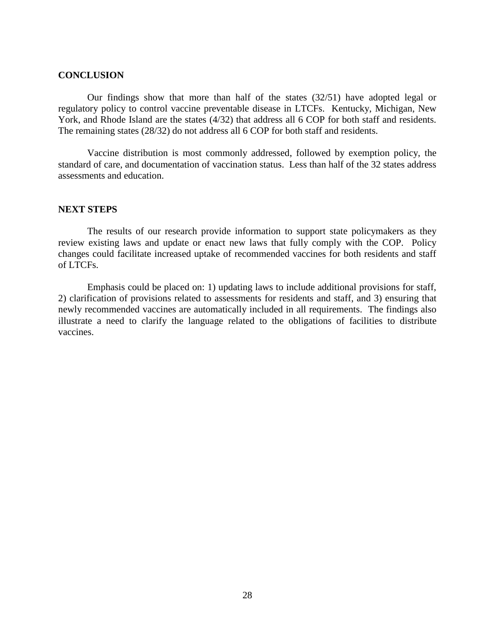#### **CONCLUSION**

Our findings show that more than half of the states (32/51) have adopted legal or regulatory policy to control vaccine preventable disease in LTCFs. Kentucky, Michigan, New York, and Rhode Island are the states (4/32) that address all 6 COP for both staff and residents. The remaining states (28/32) do not address all 6 COP for both staff and residents.

Vaccine distribution is most commonly addressed, followed by exemption policy, the standard of care, and documentation of vaccination status. Less than half of the 32 states address assessments and education.

## **NEXT STEPS**

The results of our research provide information to support state policymakers as they review existing laws and update or enact new laws that fully comply with the COP. Policy changes could facilitate increased uptake of recommended vaccines for both residents and staff of LTCFs.

Emphasis could be placed on: 1) updating laws to include additional provisions for staff, 2) clarification of provisions related to assessments for residents and staff, and 3) ensuring that newly recommended vaccines are automatically included in all requirements. The findings also illustrate a need to clarify the language related to the obligations of facilities to distribute vaccines.